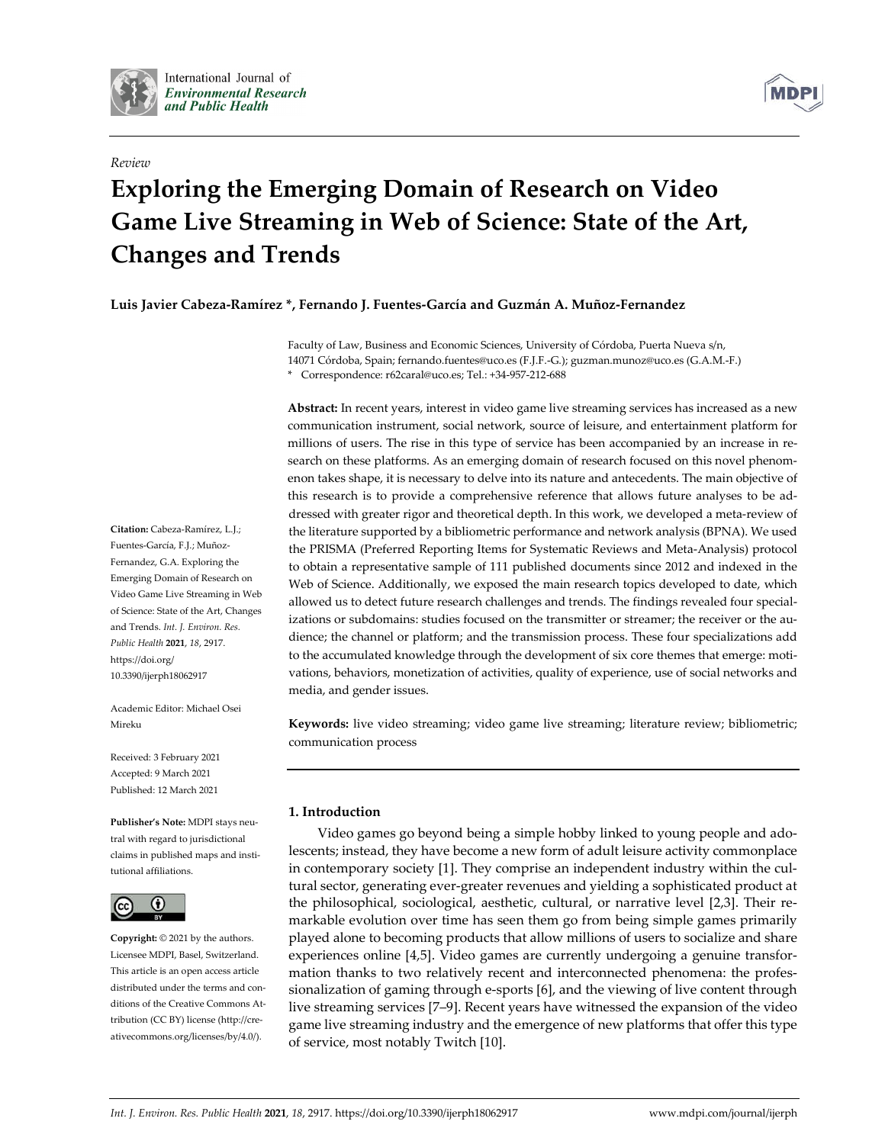

International Journal of **Environmental Research** and Public Health

### *Review*



# **Exploring the Emerging Domain of Research on Video Game Live Streaming in Web of Science: State of the Art, Changes and Trends**

**Luis Javier Cabeza-Ramírez \*, Fernando J. Fuentes-García and Guzmán A. Muñoz-Fernandez**

Faculty of Law, Business and Economic Sciences, University of Córdoba, Puerta Nueva s/n, 14071 Córdoba, Spain; fernando.fuentes@uco.es (F.J.F.-G.); guzman.munoz@uco.es (G.A.M.-F.) \* Correspondence: r62caral@uco.es; Tel.: +34-957-212-688

**Abstract:** In recent years, interest in video game live streaming services has increased as a new communication instrument, social network, source of leisure, and entertainment platform for millions of users. The rise in this type of service has been accompanied by an increase in research on these platforms. As an emerging domain of research focused on this novel phenomenon takes shape, it is necessary to delve into its nature and antecedents. The main objective of this research is to provide a comprehensive reference that allows future analyses to be addressed with greater rigor and theoretical depth. In this work, we developed a meta-review of the literature supported by a bibliometric performance and network analysis (BPNA). We used the PRISMA (Preferred Reporting Items for Systematic Reviews and Meta-Analysis) protocol to obtain a representative sample of 111 published documents since 2012 and indexed in the Web of Science. Additionally, we exposed the main research topics developed to date, which allowed us to detect future research challenges and trends. The findings revealed four specializations or subdomains: studies focused on the transmitter or streamer; the receiver or the audience; the channel or platform; and the transmission process. These four specializations add to the accumulated knowledge through the development of six core themes that emerge: motivations, behaviors, monetization of activities, quality of experience, use of social networks and media, and gender issues.

**Keywords:** live video streaming; video game live streaming; literature review; bibliometric; communication process

# **1. Introduction**

Video games go beyond being a simple hobby linked to young people and adolescents; instead, they have become a new form of adult leisure activity commonplace in contemporary society [1]. They comprise an independent industry within the cultural sector, generating ever-greater revenues and yielding a sophisticated product at the philosophical, sociological, aesthetic, cultural, or narrative level [2,3]. Their remarkable evolution over time has seen them go from being simple games primarily played alone to becoming products that allow millions of users to socialize and share experiences online [4,5]. Video games are currently undergoing a genuine transformation thanks to two relatively recent and interconnected phenomena: the professionalization of gaming through e-sports [6], and the viewing of live content through live streaming services [7–9]. Recent years have witnessed the expansion of the video game live streaming industry and the emergence of new platforms that offer this type of service, most notably Twitch [10].

**Citation:** Cabeza-Ramírez, L.J.; Fuentes-García, F.J.; Muñoz-Fernandez, G.A. Exploring the Emerging Domain of Research on Video Game Live Streaming in Web of Science: State of the Art, Changes and Trends. *Int. J. Environ. Res. Public Health* **2021**, *18*, 2917. https://doi.org/ 10.3390/ijerph18062917

Academic Editor: Michael Osei Mireku

Received: 3 February 2021 Accepted: 9 March 2021 Published: 12 March 2021

**Publisher's Note:** MDPI stays neutral with regard to jurisdictional claims in published maps and institutional affiliations.



**Copyright:** © 2021 by the authors. Licensee MDPI, Basel, Switzerland. This article is an open access article distributed under the terms and conditions of the Creative Commons Attribution (CC BY) license (http://creativecommons.org/licenses/by/4.0/).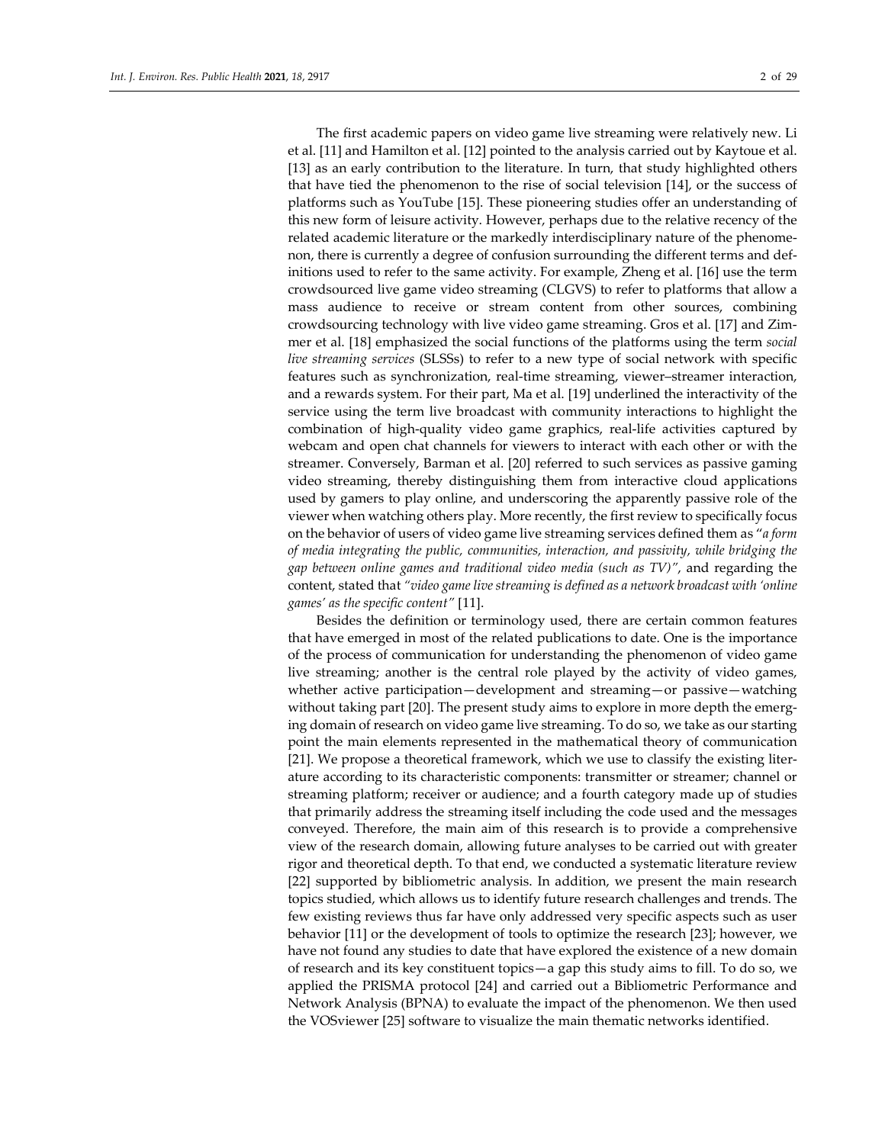The first academic papers on video game live streaming were relatively new. Li et al. [11] and Hamilton et al. [12] pointed to the analysis carried out by Kaytoue et al. [13] as an early contribution to the literature. In turn, that study highlighted others that have tied the phenomenon to the rise of social television [14], or the success of platforms such as YouTube [15]. These pioneering studies offer an understanding of this new form of leisure activity. However, perhaps due to the relative recency of the related academic literature or the markedly interdisciplinary nature of the phenomenon, there is currently a degree of confusion surrounding the different terms and definitions used to refer to the same activity. For example, Zheng et al. [16] use the term crowdsourced live game video streaming (CLGVS) to refer to platforms that allow a mass audience to receive or stream content from other sources, combining crowdsourcing technology with live video game streaming. Gros et al. [17] and Zimmer et al. [18] emphasized the social functions of the platforms using the term *social live streaming services* (SLSSs) to refer to a new type of social network with specific features such as synchronization, real-time streaming, viewer–streamer interaction, and a rewards system. For their part, Ma et al. [19] underlined the interactivity of the service using the term live broadcast with community interactions to highlight the combination of high-quality video game graphics, real-life activities captured by webcam and open chat channels for viewers to interact with each other or with the streamer. Conversely, Barman et al. [20] referred to such services as passive gaming video streaming, thereby distinguishing them from interactive cloud applications used by gamers to play online, and underscoring the apparently passive role of the viewer when watching others play. More recently, the first review to specifically focus on the behavior of users of video game live streaming services defined them as "*a form of media integrating the public, communities, interaction, and passivity, while bridging the gap between online games and traditional video media (such as TV)"*, and regarding the content, stated that *"video game live streaming is defined as a network broadcast with 'online games' as the specific content"* [11].

Besides the definition or terminology used, there are certain common features that have emerged in most of the related publications to date. One is the importance of the process of communication for understanding the phenomenon of video game live streaming; another is the central role played by the activity of video games, whether active participation—development and streaming—or passive—watching without taking part [20]. The present study aims to explore in more depth the emerging domain of research on video game live streaming. To do so, we take as our starting point the main elements represented in the mathematical theory of communication [21]. We propose a theoretical framework, which we use to classify the existing literature according to its characteristic components: transmitter or streamer; channel or streaming platform; receiver or audience; and a fourth category made up of studies that primarily address the streaming itself including the code used and the messages conveyed. Therefore, the main aim of this research is to provide a comprehensive view of the research domain, allowing future analyses to be carried out with greater rigor and theoretical depth. To that end, we conducted a systematic literature review [22] supported by bibliometric analysis. In addition, we present the main research topics studied, which allows us to identify future research challenges and trends. The few existing reviews thus far have only addressed very specific aspects such as user behavior [11] or the development of tools to optimize the research [23]; however, we have not found any studies to date that have explored the existence of a new domain of research and its key constituent topics—a gap this study aims to fill. To do so, we applied the PRISMA protocol [24] and carried out a Bibliometric Performance and Network Analysis (BPNA) to evaluate the impact of the phenomenon. We then used the VOSviewer [25] software to visualize the main thematic networks identified.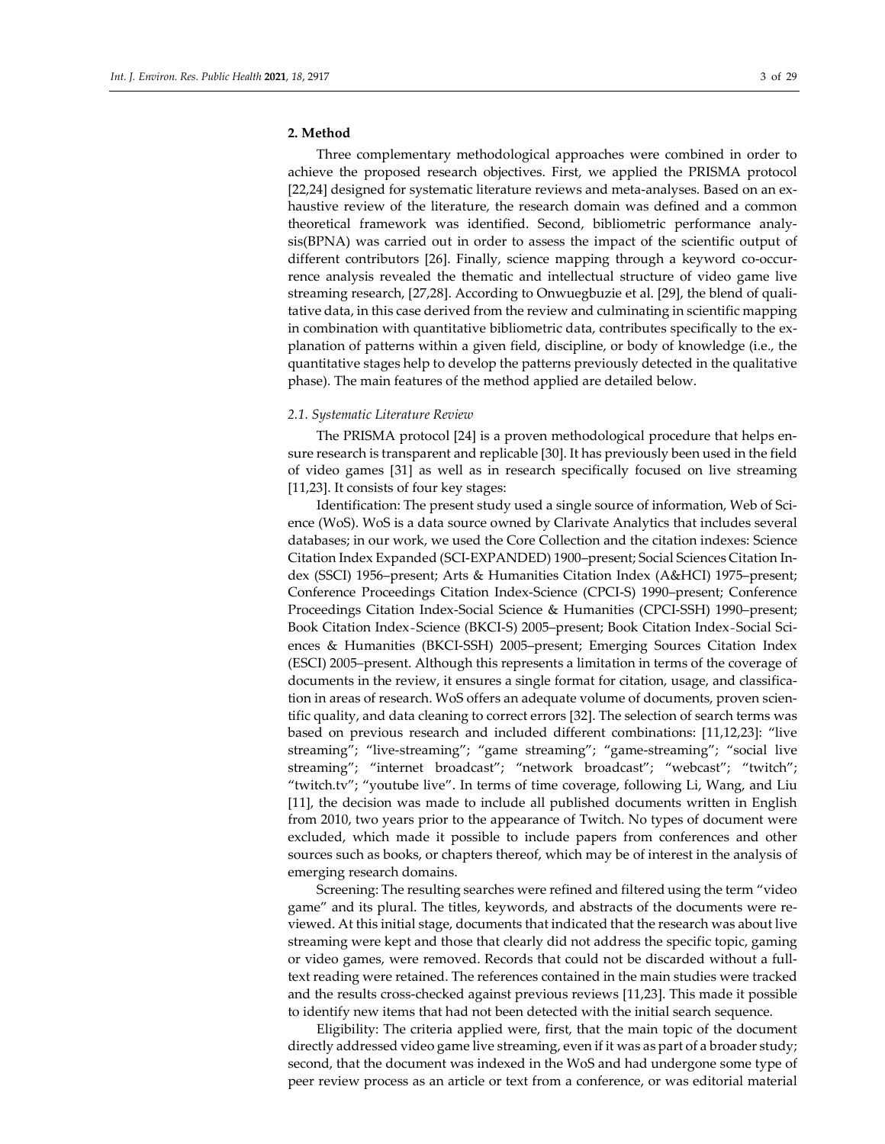# **2. Method**

Three complementary methodological approaches were combined in order to achieve the proposed research objectives. First, we applied the PRISMA protocol [22,24] designed for systematic literature reviews and meta-analyses. Based on an exhaustive review of the literature, the research domain was defined and a common theoretical framework was identified. Second, bibliometric performance analysis(BPNA) was carried out in order to assess the impact of the scientific output of different contributors [26]. Finally, science mapping through a keyword co-occurrence analysis revealed the thematic and intellectual structure of video game live streaming research, [27,28]. According to Onwuegbuzie et al. [29], the blend of qualitative data, in this case derived from the review and culminating in scientific mapping in combination with quantitative bibliometric data, contributes specifically to the explanation of patterns within a given field, discipline, or body of knowledge (i.e., the quantitative stages help to develop the patterns previously detected in the qualitative phase). The main features of the method applied are detailed below.

#### *2.1. Systematic Literature Review*

The PRISMA protocol [24] is a proven methodological procedure that helps ensure research is transparent and replicable [30]. It has previously been used in the field of video games [31] as well as in research specifically focused on live streaming [11,23]. It consists of four key stages:

Identification: The present study used a single source of information, Web of Science (WoS). WoS is a data source owned by Clarivate Analytics that includes several databases; in our work, we used the Core Collection and the citation indexes: Science Citation Index Expanded (SCI-EXPANDED) 1900–present; Social Sciences Citation Index (SSCI) 1956–present; Arts & Humanities Citation Index (A&HCI) 1975–present; Conference Proceedings Citation Index-Science (CPCI-S) 1990–present; Conference Proceedings Citation Index-Social Science & Humanities (CPCI-SSH) 1990–present; Book Citation Index-Science (BKCI-S) 2005–present; Book Citation Index-Social Sciences & Humanities (BKCI-SSH) 2005–present; Emerging Sources Citation Index (ESCI) 2005–present. Although this represents a limitation in terms of the coverage of documents in the review, it ensures a single format for citation, usage, and classification in areas of research. WoS offers an adequate volume of documents, proven scientific quality, and data cleaning to correct errors [32]. The selection of search terms was based on previous research and included different combinations: [11,12,23]: "live streaming"; "live-streaming"; "game streaming"; "game-streaming"; "social live streaming"; "internet broadcast"; "network broadcast"; "webcast"; "twitch"; "twitch.tv"; "youtube live". In terms of time coverage, following Li, Wang, and Liu [11], the decision was made to include all published documents written in English from 2010, two years prior to the appearance of Twitch. No types of document were excluded, which made it possible to include papers from conferences and other sources such as books, or chapters thereof, which may be of interest in the analysis of emerging research domains.

Screening: The resulting searches were refined and filtered using the term "video game" and its plural. The titles, keywords, and abstracts of the documents were reviewed. At this initial stage, documents that indicated that the research was about live streaming were kept and those that clearly did not address the specific topic, gaming or video games, were removed. Records that could not be discarded without a fulltext reading were retained. The references contained in the main studies were tracked and the results cross-checked against previous reviews [11,23]. This made it possible to identify new items that had not been detected with the initial search sequence.

Eligibility: The criteria applied were, first, that the main topic of the document directly addressed video game live streaming, even if it was as part of a broader study; second, that the document was indexed in the WoS and had undergone some type of peer review process as an article or text from a conference, or was editorial material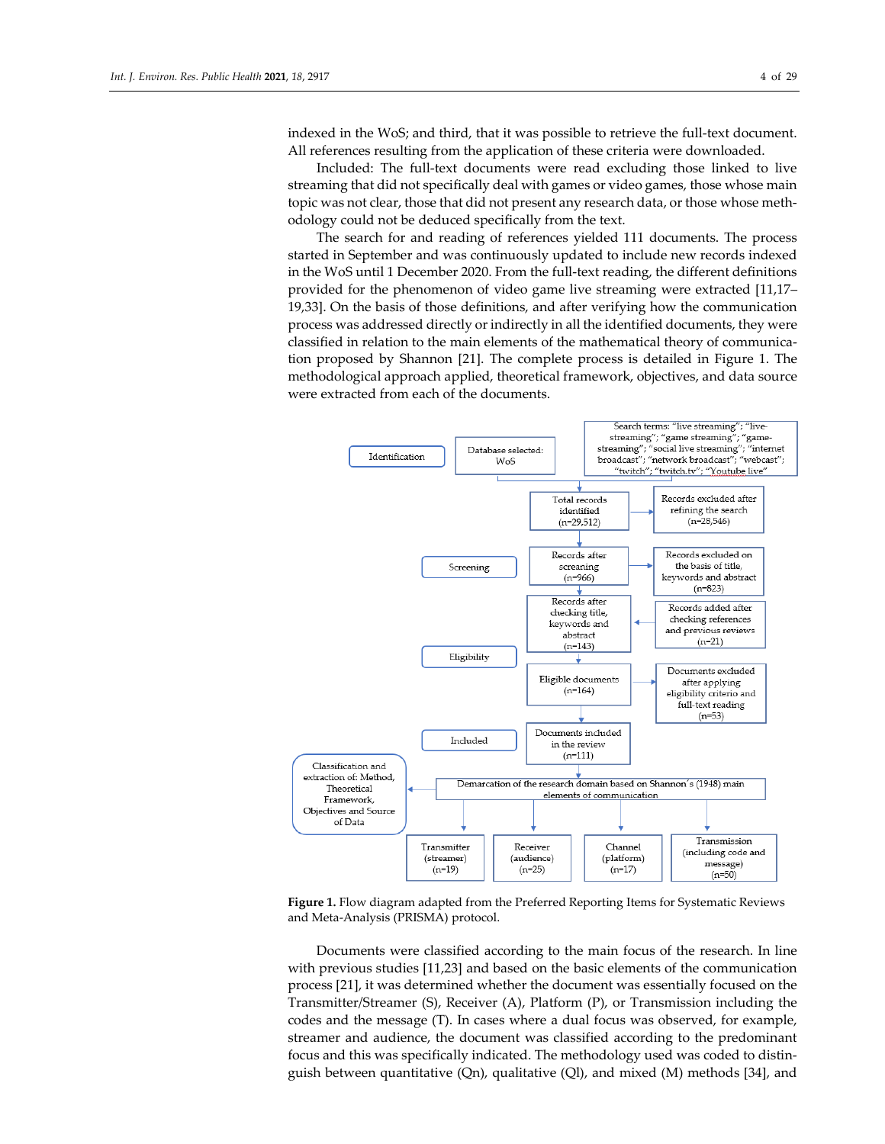indexed in the WoS; and third, that it was possible to retrieve the full-text document. All references resulting from the application of these criteria were downloaded.

Included: The full-text documents were read excluding those linked to live streaming that did not specifically deal with games or video games, those whose main topic was not clear, those that did not present any research data, or those whose methodology could not be deduced specifically from the text.

The search for and reading of references yielded 111 documents. The process started in September and was continuously updated to include new records indexed in the WoS until 1 December 2020. From the full-text reading, the different definitions provided for the phenomenon of video game live streaming were extracted [11,17– 19,33]. On the basis of those definitions, and after verifying how the communication process was addressed directly or indirectly in all the identified documents, they were classified in relation to the main elements of the mathematical theory of communication proposed by Shannon [21]. The complete process is detailed in Figure 1. The methodological approach applied, theoretical framework, objectives, and data source were extracted from each of the documents.



**Figure 1.** Flow diagram adapted from the Preferred Reporting Items for Systematic Reviews and Meta-Analysis (PRISMA) protocol.

Documents were classified according to the main focus of the research. In line with previous studies [11,23] and based on the basic elements of the communication process [21], it was determined whether the document was essentially focused on the Transmitter/Streamer (S), Receiver (A), Platform (P), or Transmission including the codes and the message (T). In cases where a dual focus was observed, for example, streamer and audience, the document was classified according to the predominant focus and this was specifically indicated. The methodology used was coded to distinguish between quantitative (Qn), qualitative (Ql), and mixed (M) methods [34], and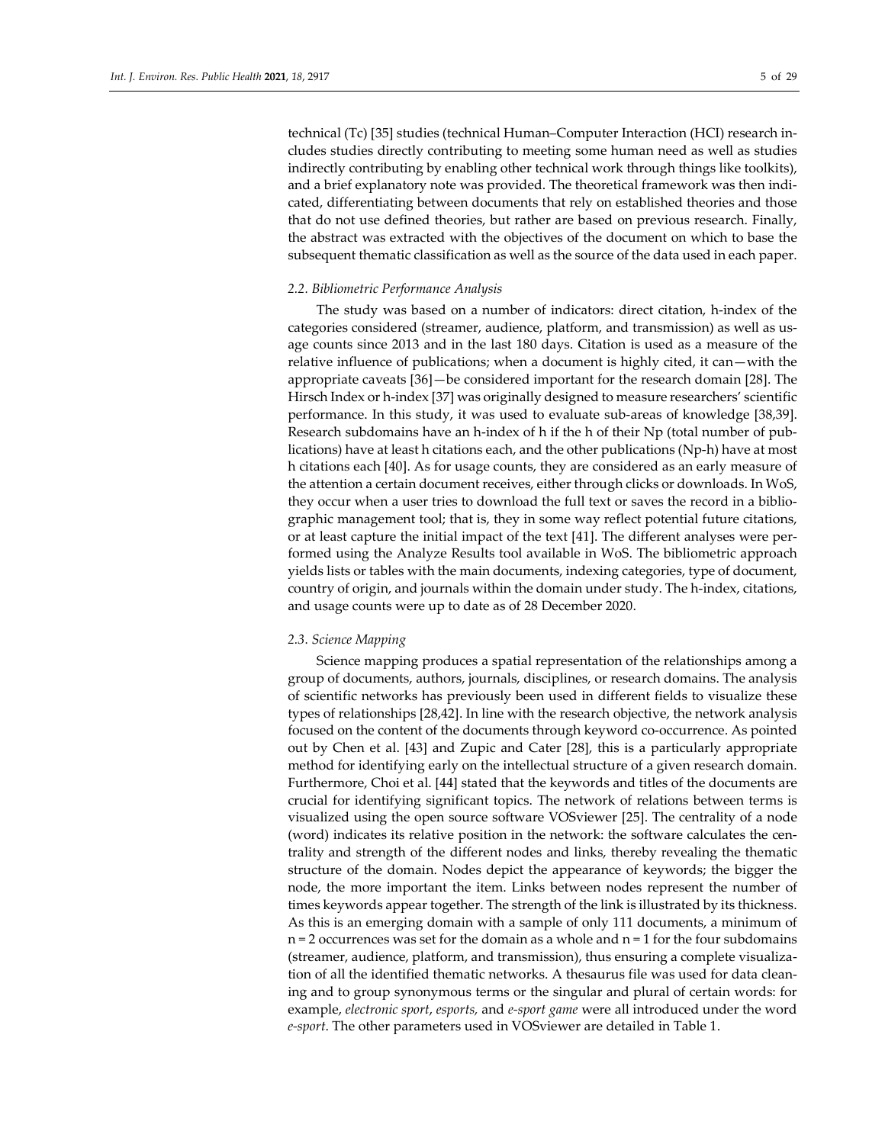technical (Tc) [35] studies (technical Human–Computer Interaction (HCI) research includes studies directly contributing to meeting some human need as well as studies indirectly contributing by enabling other technical work through things like toolkits), and a brief explanatory note was provided. The theoretical framework was then indicated, differentiating between documents that rely on established theories and those that do not use defined theories, but rather are based on previous research. Finally, the abstract was extracted with the objectives of the document on which to base the subsequent thematic classification as well as the source of the data used in each paper.

#### *2.2. Bibliometric Performance Analysis*

The study was based on a number of indicators: direct citation, h-index of the categories considered (streamer, audience, platform, and transmission) as well as usage counts since 2013 and in the last 180 days. Citation is used as a measure of the relative influence of publications; when a document is highly cited, it can—with the appropriate caveats [36]—be considered important for the research domain [28]. The Hirsch Index or h-index [37] was originally designed to measure researchers' scientific performance. In this study, it was used to evaluate sub-areas of knowledge [38,39]. Research subdomains have an h-index of h if the h of their Np (total number of publications) have at least h citations each, and the other publications (Np-h) have at most h citations each [40]. As for usage counts, they are considered as an early measure of the attention a certain document receives, either through clicks or downloads. In WoS, they occur when a user tries to download the full text or saves the record in a bibliographic management tool; that is, they in some way reflect potential future citations, or at least capture the initial impact of the text [41]. The different analyses were performed using the Analyze Results tool available in WoS. The bibliometric approach yields lists or tables with the main documents, indexing categories, type of document, country of origin, and journals within the domain under study. The h-index, citations, and usage counts were up to date as of 28 December 2020.

# *2.3. Science Mapping*

Science mapping produces a spatial representation of the relationships among a group of documents, authors, journals, disciplines, or research domains. The analysis of scientific networks has previously been used in different fields to visualize these types of relationships [28,42]. In line with the research objective, the network analysis focused on the content of the documents through keyword co-occurrence. As pointed out by Chen et al. [43] and Zupic and Cater [28], this is a particularly appropriate method for identifying early on the intellectual structure of a given research domain. Furthermore, Choi et al. [44] stated that the keywords and titles of the documents are crucial for identifying significant topics. The network of relations between terms is visualized using the open source software VOSviewer [25]. The centrality of a node (word) indicates its relative position in the network: the software calculates the centrality and strength of the different nodes and links, thereby revealing the thematic structure of the domain. Nodes depict the appearance of keywords; the bigger the node, the more important the item. Links between nodes represent the number of times keywords appear together. The strength of the link is illustrated by its thickness. As this is an emerging domain with a sample of only 111 documents, a minimum of  $n = 2$  occurrences was set for the domain as a whole and  $n = 1$  for the four subdomains (streamer, audience, platform, and transmission), thus ensuring a complete visualization of all the identified thematic networks. A thesaurus file was used for data cleaning and to group synonymous terms or the singular and plural of certain words: for example, *electronic sport*, *esports,* and *e-sport game* were all introduced under the word *e-sport*. The other parameters used in VOSviewer are detailed in Table 1.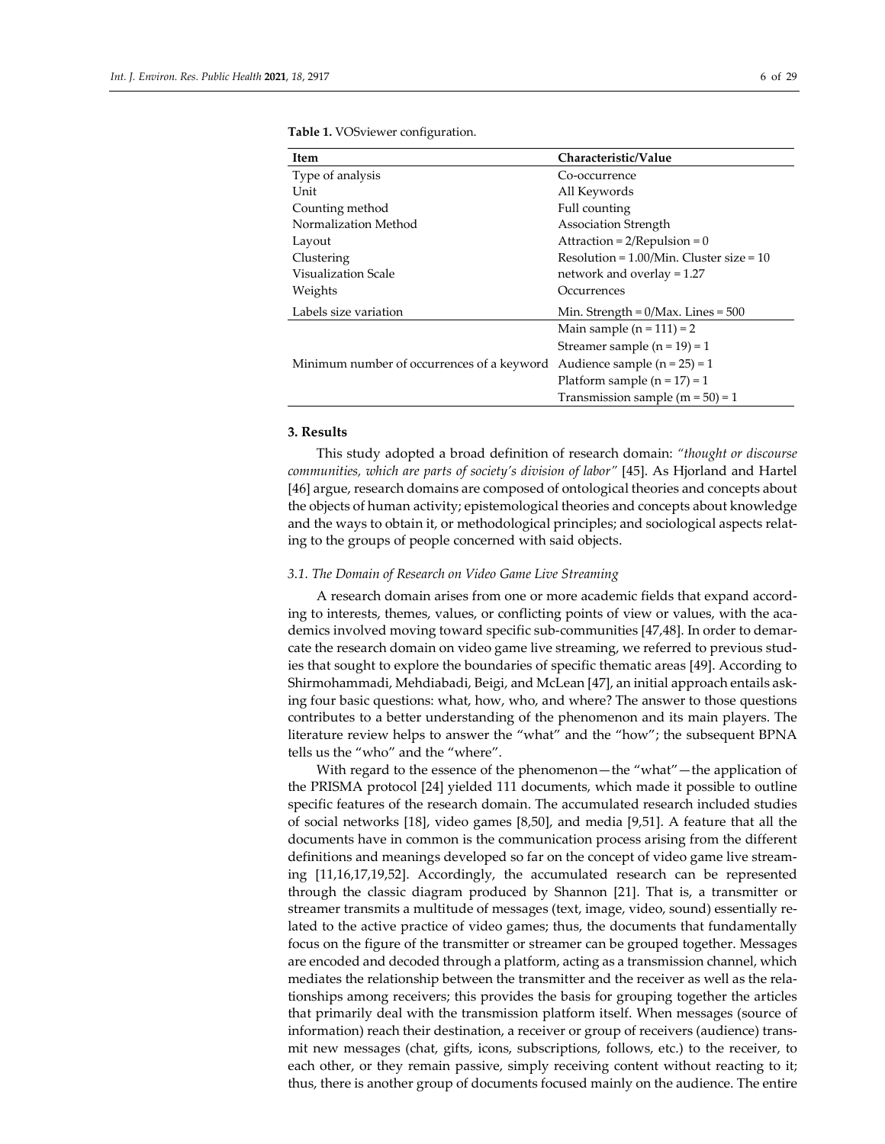| Item                                       | Characteristic/Value                          |
|--------------------------------------------|-----------------------------------------------|
|                                            |                                               |
| Type of analysis                           | Co-occurrence                                 |
| Unit                                       | All Keywords                                  |
| Counting method                            | Full counting                                 |
| Normalization Method                       | <b>Association Strength</b>                   |
| Layout                                     | Attraction = $2/$ Repulsion = 0               |
| Clustering                                 | Resolution = $1.00$ /Min. Cluster size = $10$ |
| Visualization Scale                        | network and overlay = 1.27                    |
| Weights                                    | Occurrences                                   |
| Labels size variation                      | Min. Strength = $0/Max$ . Lines = $500$       |
|                                            | Main sample $(n = 111) = 2$                   |
|                                            | Streamer sample $(n = 19) = 1$                |
| Minimum number of occurrences of a keyword | Audience sample $(n = 25) = 1$                |
|                                            | Platform sample $(n = 17) = 1$                |
|                                            | Transmission sample $(m = 50) = 1$            |

**Table 1.** VOSviewer configuration.

# **3. Results**

This study adopted a broad definition of research domain: *"thought or discourse communities, which are parts of society's division of labor"* [45]. As Hjorland and Hartel [46] argue, research domains are composed of ontological theories and concepts about the objects of human activity; epistemological theories and concepts about knowledge and the ways to obtain it, or methodological principles; and sociological aspects relating to the groups of people concerned with said objects.

#### *3.1. The Domain of Research on Video Game Live Streaming*

A research domain arises from one or more academic fields that expand according to interests, themes, values, or conflicting points of view or values, with the academics involved moving toward specific sub-communities [47,48]. In order to demarcate the research domain on video game live streaming, we referred to previous studies that sought to explore the boundaries of specific thematic areas [49]. According to Shirmohammadi, Mehdiabadi, Beigi, and McLean [47], an initial approach entails asking four basic questions: what, how, who, and where? The answer to those questions contributes to a better understanding of the phenomenon and its main players. The literature review helps to answer the "what" and the "how"; the subsequent BPNA tells us the "who" and the "where".

With regard to the essence of the phenomenon—the "what"—the application of the PRISMA protocol [24] yielded 111 documents, which made it possible to outline specific features of the research domain. The accumulated research included studies of social networks [18], video games [8,50], and media [9,51]. A feature that all the documents have in common is the communication process arising from the different definitions and meanings developed so far on the concept of video game live streaming [11,16,17,19,52]. Accordingly, the accumulated research can be represented through the classic diagram produced by Shannon [21]. That is, a transmitter or streamer transmits a multitude of messages (text, image, video, sound) essentially related to the active practice of video games; thus, the documents that fundamentally focus on the figure of the transmitter or streamer can be grouped together. Messages are encoded and decoded through a platform, acting as a transmission channel, which mediates the relationship between the transmitter and the receiver as well as the relationships among receivers; this provides the basis for grouping together the articles that primarily deal with the transmission platform itself. When messages (source of information) reach their destination, a receiver or group of receivers (audience) transmit new messages (chat, gifts, icons, subscriptions, follows, etc.) to the receiver, to each other, or they remain passive, simply receiving content without reacting to it; thus, there is another group of documents focused mainly on the audience. The entire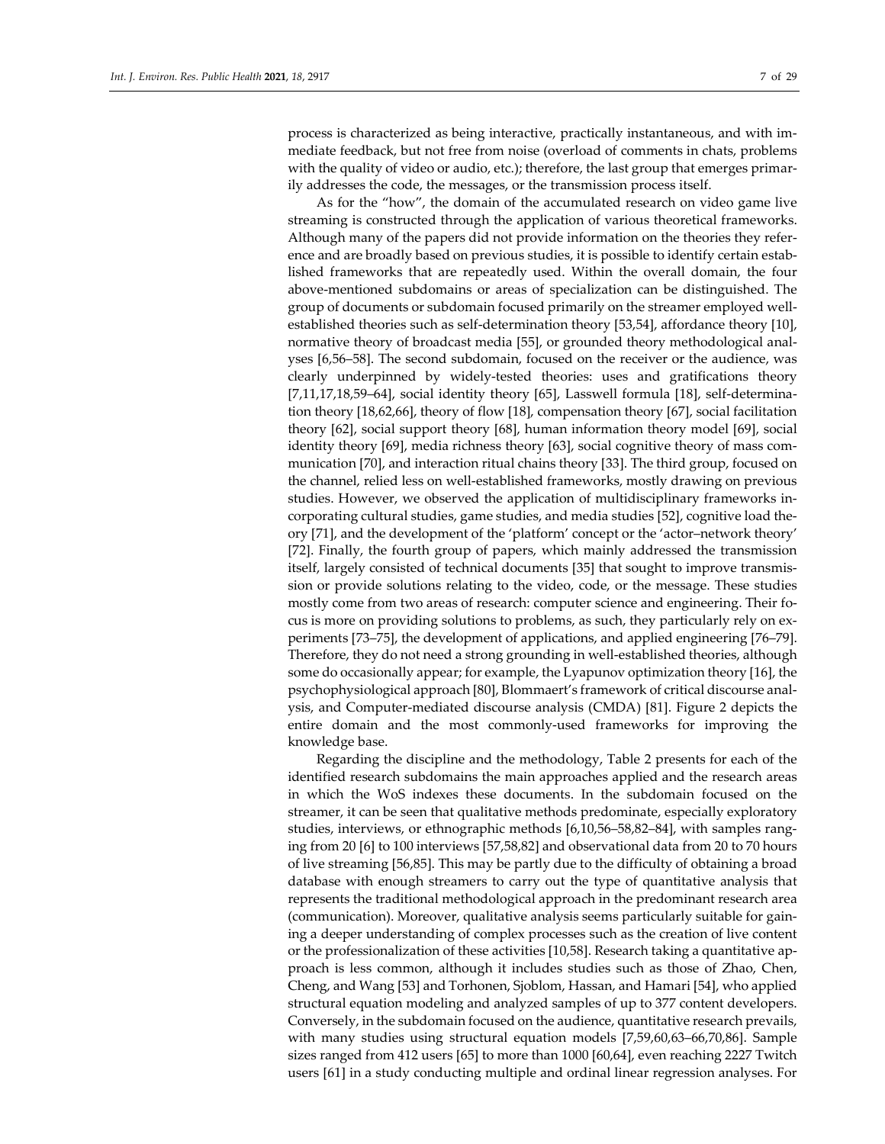process is characterized as being interactive, practically instantaneous, and with immediate feedback, but not free from noise (overload of comments in chats, problems with the quality of video or audio, etc.); therefore, the last group that emerges primarily addresses the code, the messages, or the transmission process itself.

As for the "how", the domain of the accumulated research on video game live streaming is constructed through the application of various theoretical frameworks. Although many of the papers did not provide information on the theories they reference and are broadly based on previous studies, it is possible to identify certain established frameworks that are repeatedly used. Within the overall domain, the four above-mentioned subdomains or areas of specialization can be distinguished. The group of documents or subdomain focused primarily on the streamer employed wellestablished theories such as self-determination theory [53,54], affordance theory [10], normative theory of broadcast media [55], or grounded theory methodological analyses [6,56–58]. The second subdomain, focused on the receiver or the audience, was clearly underpinned by widely-tested theories: uses and gratifications theory [7,11,17,18,59–64], social identity theory [65], Lasswell formula [18], self-determination theory [18,62,66], theory of flow [18], compensation theory [67], social facilitation theory [62], social support theory [68], human information theory model [69], social identity theory [69], media richness theory [63], social cognitive theory of mass communication [70], and interaction ritual chains theory [33]. The third group, focused on the channel, relied less on well-established frameworks, mostly drawing on previous studies. However, we observed the application of multidisciplinary frameworks incorporating cultural studies, game studies, and media studies [52], cognitive load theory [71], and the development of the 'platform' concept or the 'actor–network theory' [72]. Finally, the fourth group of papers, which mainly addressed the transmission itself, largely consisted of technical documents [35] that sought to improve transmission or provide solutions relating to the video, code, or the message. These studies mostly come from two areas of research: computer science and engineering. Their focus is more on providing solutions to problems, as such, they particularly rely on experiments [73–75], the development of applications, and applied engineering [76–79]. Therefore, they do not need a strong grounding in well-established theories, although some do occasionally appear; for example, the Lyapunov optimization theory [16], the psychophysiological approach [80], Blommaert's framework of critical discourse analysis, and Computer-mediated discourse analysis (CMDA) [81]. Figure 2 depicts the entire domain and the most commonly-used frameworks for improving the knowledge base.

Regarding the discipline and the methodology, Table 2 presents for each of the identified research subdomains the main approaches applied and the research areas in which the WoS indexes these documents. In the subdomain focused on the streamer, it can be seen that qualitative methods predominate, especially exploratory studies, interviews, or ethnographic methods [6,10,56–58,82–84], with samples ranging from 20 [6] to 100 interviews [57,58,82] and observational data from 20 to 70 hours of live streaming [56,85]. This may be partly due to the difficulty of obtaining a broad database with enough streamers to carry out the type of quantitative analysis that represents the traditional methodological approach in the predominant research area (communication). Moreover, qualitative analysis seems particularly suitable for gaining a deeper understanding of complex processes such as the creation of live content or the professionalization of these activities [10,58]. Research taking a quantitative approach is less common, although it includes studies such as those of Zhao, Chen, Cheng, and Wang [53] and Torhonen, Sjoblom, Hassan, and Hamari [54], who applied structural equation modeling and analyzed samples of up to 377 content developers. Conversely, in the subdomain focused on the audience, quantitative research prevails, with many studies using structural equation models [7,59,60,63–66,70,86]. Sample sizes ranged from 412 users [65] to more than 1000 [60,64], even reaching 2227 Twitch users [61] in a study conducting multiple and ordinal linear regression analyses. For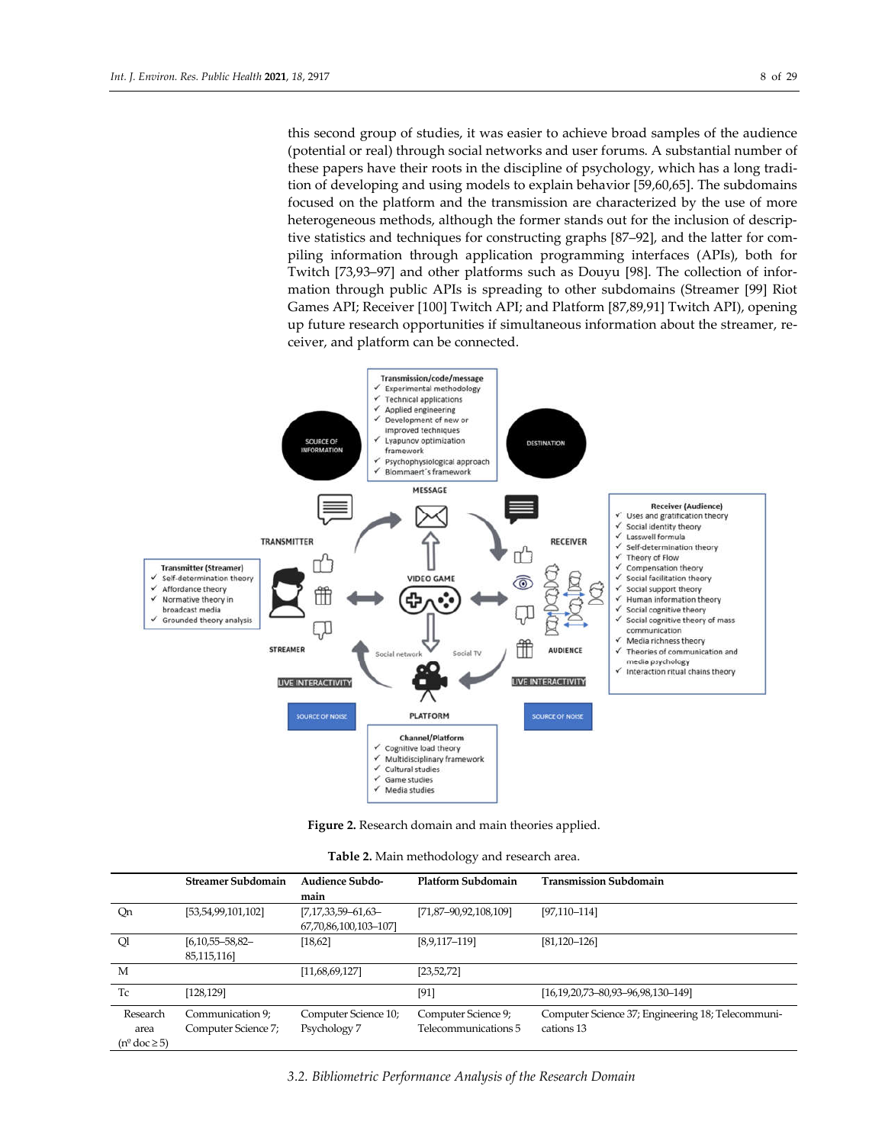this second group of studies, it was easier to achieve broad samples of the audience (potential or real) through social networks and user forums. A substantial number of these papers have their roots in the discipline of psychology, which has a long tradition of developing and using models to explain behavior [59,60,65]. The subdomains focused on the platform and the transmission are characterized by the use of more heterogeneous methods, although the former stands out for the inclusion of descriptive statistics and techniques for constructing graphs [87–92], and the latter for compiling information through application programming interfaces (APIs), both for Twitch [73,93–97] and other platforms such as Douyu [98]. The collection of information through public APIs is spreading to other subdomains (Streamer [99] Riot Games API; Receiver [100] Twitch API; and Platform [87,89,91] Twitch API), opening up future research opportunities if simultaneous information about the streamer, receiver, and platform can be connected.



**Figure 2.** Research domain and main theories applied.

| Table 2. Main methodology and research area. |  |  |
|----------------------------------------------|--|--|
|----------------------------------------------|--|--|

|                                  | <b>Streamer Subdomain</b>           | Audience Subdo-<br>main                       | Platform Subdomain    | <b>Transmission Subdomain</b>                     |
|----------------------------------|-------------------------------------|-----------------------------------------------|-----------------------|---------------------------------------------------|
| Qn                               | [53,54,99,101,102]                  | $[7,17,33,59-61,63-$<br>67,70,86,100,103-107] | [71,87-90,92,108,109] | $[97, 110 - 114]$                                 |
| Ql                               | $[6,10,55 - 58,82 -$<br>85,115,116] | [18, 62]                                      | $[8,9,117-119]$       | $[81, 120 - 126]$                                 |
| M                                |                                     | [11,68,69,127]                                | [23, 52, 72]          |                                                   |
| Tc                               | [128, 129]                          |                                               | [91]                  | [16,19,20,73-80,93-96,98,130-149]                 |
| Research                         | Communication 9;                    | Computer Science 10;                          | Computer Science 9;   | Computer Science 37; Engineering 18; Telecommuni- |
| area                             | Computer Science 7;                 | Psychology 7                                  | Telecommunications 5  | cations 13                                        |
| $(n^{\circ} \text{ doc} \geq 5)$ |                                     |                                               |                       |                                                   |

*3.2. Bibliometric Performance Analysis of the Research Domain*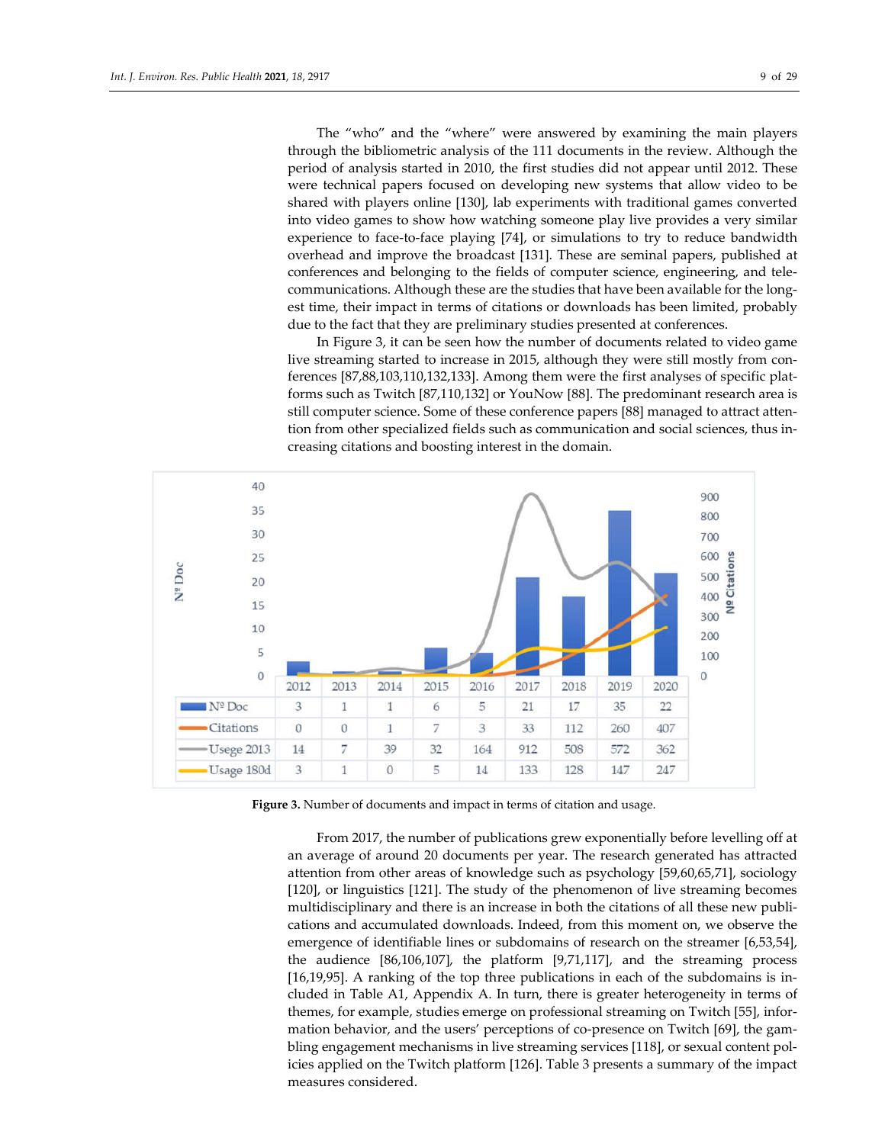The "who" and the "where" were answered by examining the main players through the bibliometric analysis of the 111 documents in the review. Although the period of analysis started in 2010, the first studies did not appear until 2012. These were technical papers focused on developing new systems that allow video to be shared with players online [130], lab experiments with traditional games converted into video games to show how watching someone play live provides a very similar experience to face-to-face playing [74], or simulations to try to reduce bandwidth overhead and improve the broadcast [131]. These are seminal papers, published at conferences and belonging to the fields of computer science, engineering, and telecommunications. Although these are the studies that have been available for the longest time, their impact in terms of citations or downloads has been limited, probably due to the fact that they are preliminary studies presented at conferences.

In Figure 3, it can be seen how the number of documents related to video game live streaming started to increase in 2015, although they were still mostly from conferences [87,88,103,110,132,133]. Among them were the first analyses of specific platforms such as Twitch [87,110,132] or YouNow [88]. The predominant research area is still computer science. Some of these conference papers [88] managed to attract attention from other specialized fields such as communication and social sciences, thus increasing citations and boosting interest in the domain.



**Figure 3.** Number of documents and impact in terms of citation and usage.

From 2017, the number of publications grew exponentially before levelling off at an average of around 20 documents per year. The research generated has attracted attention from other areas of knowledge such as psychology [59,60,65,71], sociology [120], or linguistics [121]. The study of the phenomenon of live streaming becomes multidisciplinary and there is an increase in both the citations of all these new publications and accumulated downloads. Indeed, from this moment on, we observe the emergence of identifiable lines or subdomains of research on the streamer [6,53,54], the audience [86,106,107], the platform [9,71,117], and the streaming process [16,19,95]. A ranking of the top three publications in each of the subdomains is included in Table A1, Appendix A. In turn, there is greater heterogeneity in terms of themes, for example, studies emerge on professional streaming on Twitch [55], information behavior, and the users' perceptions of co-presence on Twitch [69], the gambling engagement mechanisms in live streaming services [118], or sexual content policies applied on the Twitch platform [126]. Table 3 presents a summary of the impact measures considered.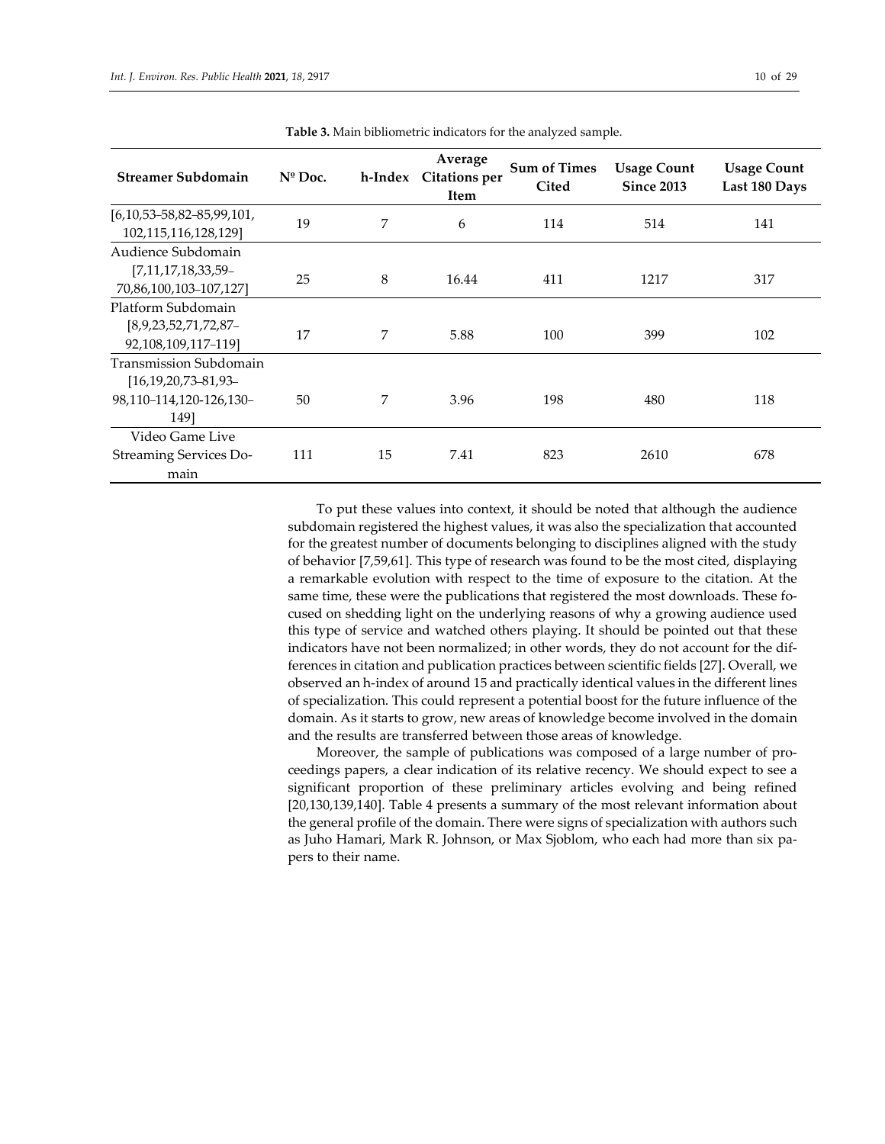| <b>Streamer Subdomain</b>            | $N^{\circ}$ Doc. | h-Index | Average<br><b>Citations per</b><br>Item | <b>Sum of Times</b><br>Cited | <b>Usage Count</b><br><b>Since 2013</b> | <b>Usage Count</b><br>Last 180 Days |
|--------------------------------------|------------------|---------|-----------------------------------------|------------------------------|-----------------------------------------|-------------------------------------|
| $[6, 10, 53 - 58, 82 - 85, 99, 101,$ | 19               | 7       | 6                                       | 114                          | 514                                     | 141                                 |
| 102,115,116,128,129]                 |                  |         |                                         |                              |                                         |                                     |
| Audience Subdomain                   |                  |         |                                         |                              |                                         |                                     |
| [7,11,17,18,33,59-                   | 25               | 8       | 16.44                                   | 411                          | 1217                                    | 317                                 |
| 70,86,100,103-107,127]               |                  |         |                                         |                              |                                         |                                     |
| Platform Subdomain                   |                  |         |                                         |                              |                                         |                                     |
| [8,9,23,52,71,72,87]                 | 17               | 7       | 5.88                                    | 100                          | 399                                     | 102                                 |
| 92,108,109,117-119]                  |                  |         |                                         |                              |                                         |                                     |
| Transmission Subdomain               |                  |         |                                         |                              |                                         |                                     |
| $[16, 19, 20, 73 - 81, 93 -$         |                  |         |                                         |                              |                                         |                                     |
| 98,110-114,120-126,130-              | 50               | 7       | 3.96                                    | 198                          | 480                                     | 118                                 |
| 1491                                 |                  |         |                                         |                              |                                         |                                     |
| Video Game Live                      |                  |         |                                         |                              |                                         |                                     |
| <b>Streaming Services Do-</b>        | 111              | 15      | 7.41                                    | 823                          | 2610                                    | 678                                 |
| main                                 |                  |         |                                         |                              |                                         |                                     |

**Table 3.** Main bibliometric indicators for the analyzed sample.

To put these values into context, it should be noted that although the audience subdomain registered the highest values, it was also the specialization that accounted for the greatest number of documents belonging to disciplines aligned with the study of behavior [7,59,61]. This type of research was found to be the most cited, displaying a remarkable evolution with respect to the time of exposure to the citation. At the same time, these were the publications that registered the most downloads. These focused on shedding light on the underlying reasons of why a growing audience used this type of service and watched others playing. It should be pointed out that these indicators have not been normalized; in other words, they do not account for the differences in citation and publication practices between scientific fields [27]. Overall, we observed an h-index of around 15 and practically identical values in the different lines of specialization. This could represent a potential boost for the future influence of the domain. As it starts to grow, new areas of knowledge become involved in the domain and the results are transferred between those areas of knowledge.

Moreover, the sample of publications was composed of a large number of proceedings papers, a clear indication of its relative recency. We should expect to see a significant proportion of these preliminary articles evolving and being refined [20,130,139,140]. Table 4 presents a summary of the most relevant information about the general profile of the domain. There were signs of specialization with authors such as Juho Hamari, Mark R. Johnson, or Max Sjoblom, who each had more than six papers to their name.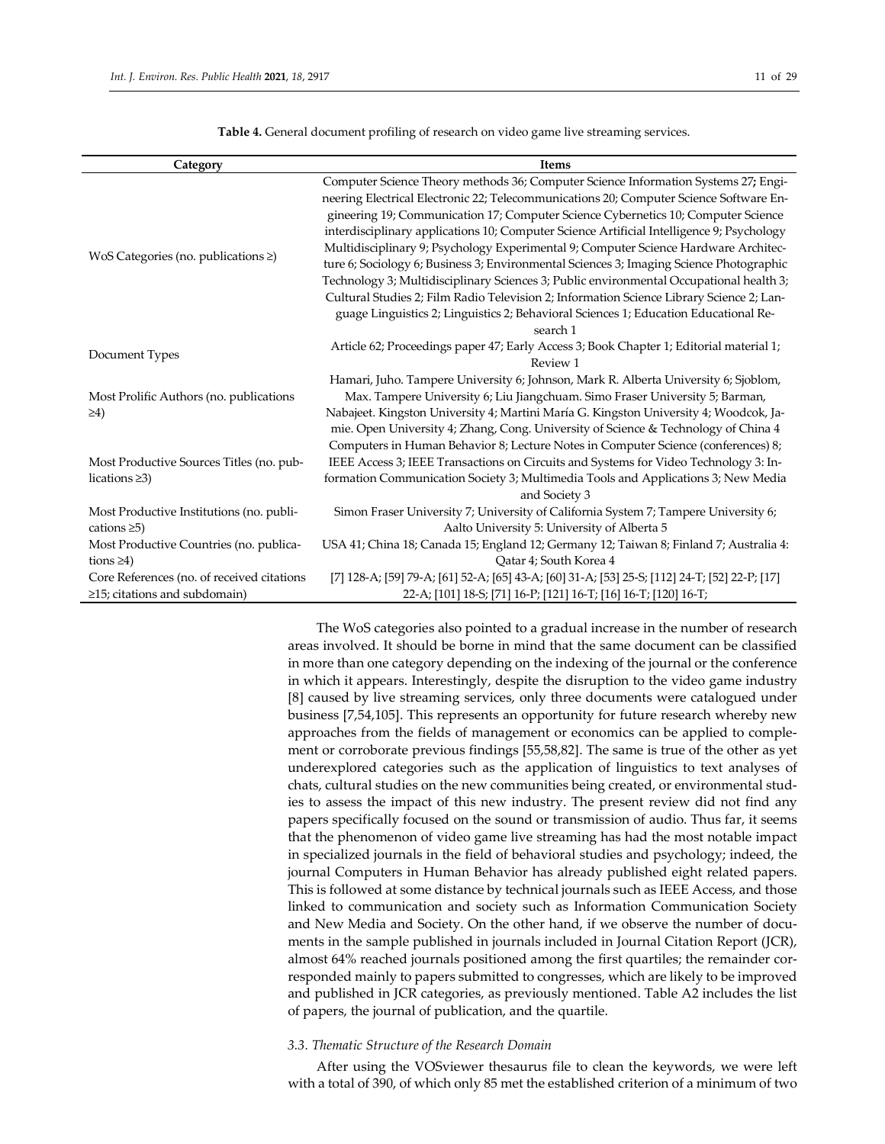| Category                                   | <b>Items</b>                                                                                  |
|--------------------------------------------|-----------------------------------------------------------------------------------------------|
|                                            | Computer Science Theory methods 36; Computer Science Information Systems 27; Engi-            |
|                                            | neering Electrical Electronic 22; Telecommunications 20; Computer Science Software En-        |
|                                            | gineering 19; Communication 17; Computer Science Cybernetics 10; Computer Science             |
|                                            | interdisciplinary applications 10; Computer Science Artificial Intelligence 9; Psychology     |
|                                            | Multidisciplinary 9; Psychology Experimental 9; Computer Science Hardware Architec-           |
| WoS Categories (no. publications ≥)        | ture 6; Sociology 6; Business 3; Environmental Sciences 3; Imaging Science Photographic       |
|                                            | Technology 3; Multidisciplinary Sciences 3; Public environmental Occupational health 3;       |
|                                            | Cultural Studies 2; Film Radio Television 2; Information Science Library Science 2; Lan-      |
|                                            | guage Linguistics 2; Linguistics 2; Behavioral Sciences 1; Education Educational Re-          |
|                                            | search 1                                                                                      |
|                                            | Article 62; Proceedings paper 47; Early Access 3; Book Chapter 1; Editorial material 1;       |
| Document Types                             | Review 1                                                                                      |
|                                            | Hamari, Juho. Tampere University 6; Johnson, Mark R. Alberta University 6; Sjoblom,           |
| Most Prolific Authors (no. publications    | Max. Tampere University 6; Liu Jiangchuam. Simo Fraser University 5; Barman,                  |
| $\geq 4$                                   | Nabajeet. Kingston University 4; Martini María G. Kingston University 4; Woodcok, Ja-         |
|                                            | mie. Open University 4; Zhang, Cong. University of Science & Technology of China 4            |
|                                            | Computers in Human Behavior 8; Lecture Notes in Computer Science (conferences) 8;             |
| Most Productive Sources Titles (no. pub-   | IEEE Access 3; IEEE Transactions on Circuits and Systems for Video Technology 3: In-          |
| lications $\geq 3$ )                       | formation Communication Society 3; Multimedia Tools and Applications 3; New Media             |
|                                            | and Society 3                                                                                 |
| Most Productive Institutions (no. publi-   | Simon Fraser University 7; University of California System 7; Tampere University 6;           |
| cations $\geq 5$ )                         | Aalto University 5: University of Alberta 5                                                   |
| Most Productive Countries (no. publica-    | USA 41; China 18; Canada 15; England 12; Germany 12; Taiwan 8; Finland 7; Australia 4:        |
| tions $\geq 4$ )                           | Qatar 4; South Korea 4                                                                        |
| Core References (no. of received citations | [7] 128-A; [59] 79-A; [61] 52-A; [65] 43-A; [60] 31-A; [53] 25-S; [112] 24-T; [52] 22-P; [17] |
| $\geq$ 15; citations and subdomain)        | 22-A; [101] 18-S; [71] 16-P; [121] 16-T; [16] 16-T; [120] 16-T;                               |

**Table 4.** General document profiling of research on video game live streaming services.

The WoS categories also pointed to a gradual increase in the number of research areas involved. It should be borne in mind that the same document can be classified in more than one category depending on the indexing of the journal or the conference in which it appears. Interestingly, despite the disruption to the video game industry [8] caused by live streaming services, only three documents were catalogued under business [7,54,105]. This represents an opportunity for future research whereby new approaches from the fields of management or economics can be applied to complement or corroborate previous findings [55,58,82]. The same is true of the other as yet underexplored categories such as the application of linguistics to text analyses of chats, cultural studies on the new communities being created, or environmental studies to assess the impact of this new industry. The present review did not find any papers specifically focused on the sound or transmission of audio. Thus far, it seems that the phenomenon of video game live streaming has had the most notable impact in specialized journals in the field of behavioral studies and psychology; indeed, the journal Computers in Human Behavior has already published eight related papers. This is followed at some distance by technical journals such as IEEE Access, and those linked to communication and society such as Information Communication Society and New Media and Society. On the other hand, if we observe the number of documents in the sample published in journals included in Journal Citation Report (JCR), almost 64% reached journals positioned among the first quartiles; the remainder corresponded mainly to papers submitted to congresses, which are likely to be improved and published in JCR categories, as previously mentioned. Table A2 includes the list of papers, the journal of publication, and the quartile.

#### *3.3. Thematic Structure of the Research Domain*

After using the VOSviewer thesaurus file to clean the keywords, we were left with a total of 390, of which only 85 met the established criterion of a minimum of two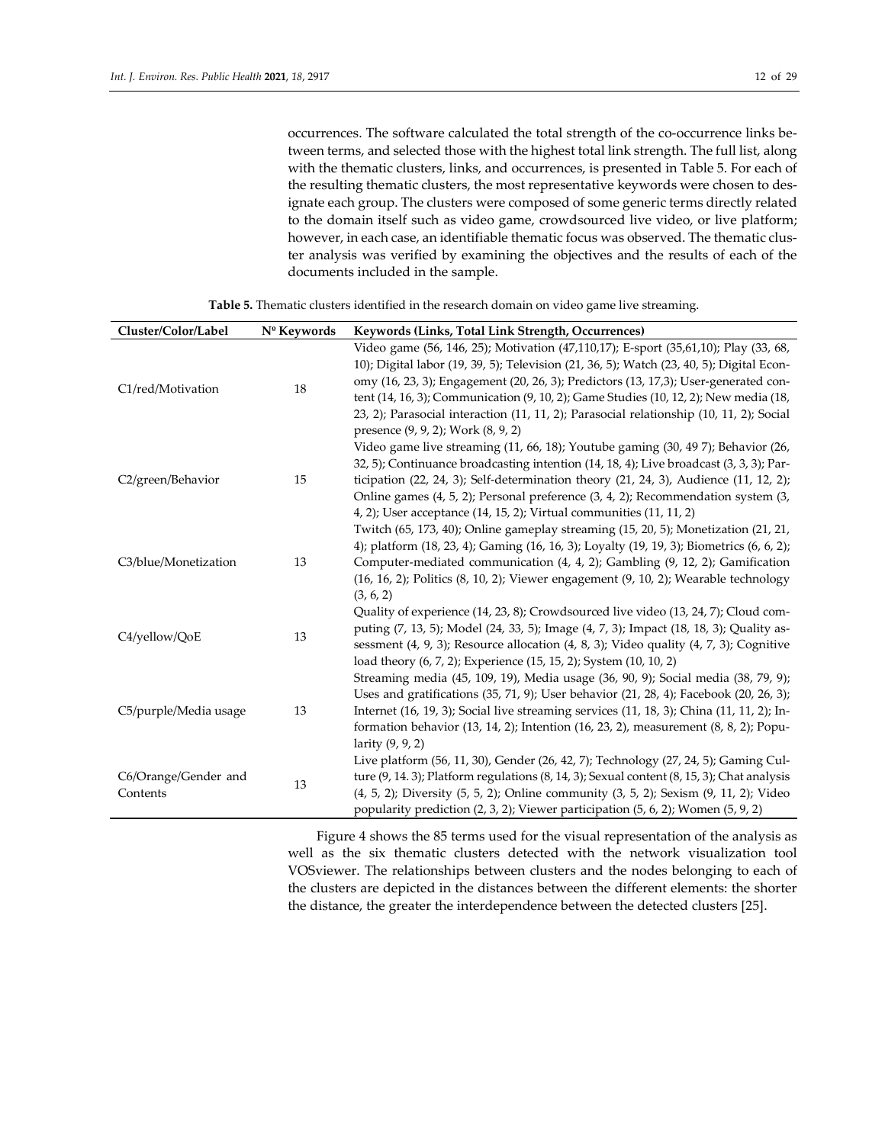occurrences. The software calculated the total strength of the co-occurrence links between terms, and selected those with the highest total link strength. The full list, along with the thematic clusters, links, and occurrences, is presented in Table 5. For each of the resulting thematic clusters, the most representative keywords were chosen to designate each group. The clusters were composed of some generic terms directly related to the domain itself such as video game, crowdsourced live video, or live platform; however, in each case, an identifiable thematic focus was observed. The thematic cluster analysis was verified by examining the objectives and the results of each of the documents included in the sample.

| Cluster/Color/Label   | Nº Keywords | Keywords (Links, Total Link Strength, Occurrences)                                                                                                                              |
|-----------------------|-------------|---------------------------------------------------------------------------------------------------------------------------------------------------------------------------------|
|                       |             | Video game (56, 146, 25); Motivation (47,110,17); E-sport (35,61,10); Play (33, 68,<br>10); Digital labor (19, 39, 5); Television (21, 36, 5); Watch (23, 40, 5); Digital Econ- |
| C1/red/Motivation     | 18          | omy (16, 23, 3); Engagement (20, 26, 3); Predictors (13, 17,3); User-generated con-                                                                                             |
|                       |             | tent (14, 16, 3); Communication (9, 10, 2); Game Studies (10, 12, 2); New media (18,                                                                                            |
|                       |             | 23, 2); Parasocial interaction (11, 11, 2); Parasocial relationship (10, 11, 2); Social<br>presence (9, 9, 2); Work (8, 9, 2)                                                   |
|                       |             | Video game live streaming (11, 66, 18); Youtube gaming (30, 49 7); Behavior (26,                                                                                                |
|                       |             | 32, 5); Continuance broadcasting intention (14, 18, 4); Live broadcast (3, 3, 3); Par-                                                                                          |
| C2/green/Behavior     | 15          | ticipation $(22, 24, 3)$ ; Self-determination theory $(21, 24, 3)$ , Audience $(11, 12, 2)$ ;                                                                                   |
|                       |             | Online games (4, 5, 2); Personal preference (3, 4, 2); Recommendation system (3,                                                                                                |
|                       |             | 4, 2); User acceptance (14, 15, 2); Virtual communities (11, 11, 2)                                                                                                             |
|                       |             | Twitch (65, 173, 40); Online gameplay streaming (15, 20, 5); Monetization (21, 21,                                                                                              |
|                       |             | 4); platform (18, 23, 4); Gaming (16, 16, 3); Loyalty (19, 19, 3); Biometrics (6, 6, 2);                                                                                        |
| C3/blue/Monetization  | 13          | Computer-mediated communication (4, 4, 2); Gambling (9, 12, 2); Gamification                                                                                                    |
|                       |             | (16, 16, 2); Politics (8, 10, 2); Viewer engagement (9, 10, 2); Wearable technology                                                                                             |
|                       |             | (3, 6, 2)                                                                                                                                                                       |
|                       |             | Quality of experience (14, 23, 8); Crowdsourced live video (13, 24, 7); Cloud com-                                                                                              |
| C4/yellow/QoE         | 13          | puting (7, 13, 5); Model (24, 33, 5); Image (4, 7, 3); Impact (18, 18, 3); Quality as-                                                                                          |
|                       |             | sessment (4, 9, 3); Resource allocation (4, 8, 3); Video quality (4, 7, 3); Cognitive                                                                                           |
|                       |             | load theory (6, 7, 2); Experience (15, 15, 2); System (10, 10, 2)                                                                                                               |
|                       |             | Streaming media (45, 109, 19), Media usage (36, 90, 9); Social media (38, 79, 9);                                                                                               |
|                       |             | Uses and gratifications (35, 71, 9); User behavior (21, 28, 4); Facebook (20, 26, 3);                                                                                           |
| C5/purple/Media usage | 13          | Internet (16, 19, 3); Social live streaming services (11, 18, 3); China (11, 11, 2); In-                                                                                        |
|                       |             | formation behavior $(13, 14, 2)$ ; Intention $(16, 23, 2)$ , measurement $(8, 8, 2)$ ; Popu-                                                                                    |
|                       |             | larity $(9, 9, 2)$                                                                                                                                                              |
|                       |             | Live platform (56, 11, 30), Gender (26, 42, 7); Technology (27, 24, 5); Gaming Cul-                                                                                             |
| C6/Orange/Gender and  | 13          | ture $(9, 14.3)$ ; Platform regulations $(8, 14, 3)$ ; Sexual content $(8, 15, 3)$ ; Chat analysis                                                                              |
| Contents              |             | (4, 5, 2); Diversity (5, 5, 2); Online community (3, 5, 2); Sexism (9, 11, 2); Video                                                                                            |
|                       |             | popularity prediction (2, 3, 2); Viewer participation (5, 6, 2); Women (5, 9, 2)                                                                                                |

**Table 5.** Thematic clusters identified in the research domain on video game live streaming.

Figure 4 shows the 85 terms used for the visual representation of the analysis as well as the six thematic clusters detected with the network visualization tool VOSviewer. The relationships between clusters and the nodes belonging to each of the clusters are depicted in the distances between the different elements: the shorter the distance, the greater the interdependence between the detected clusters [25].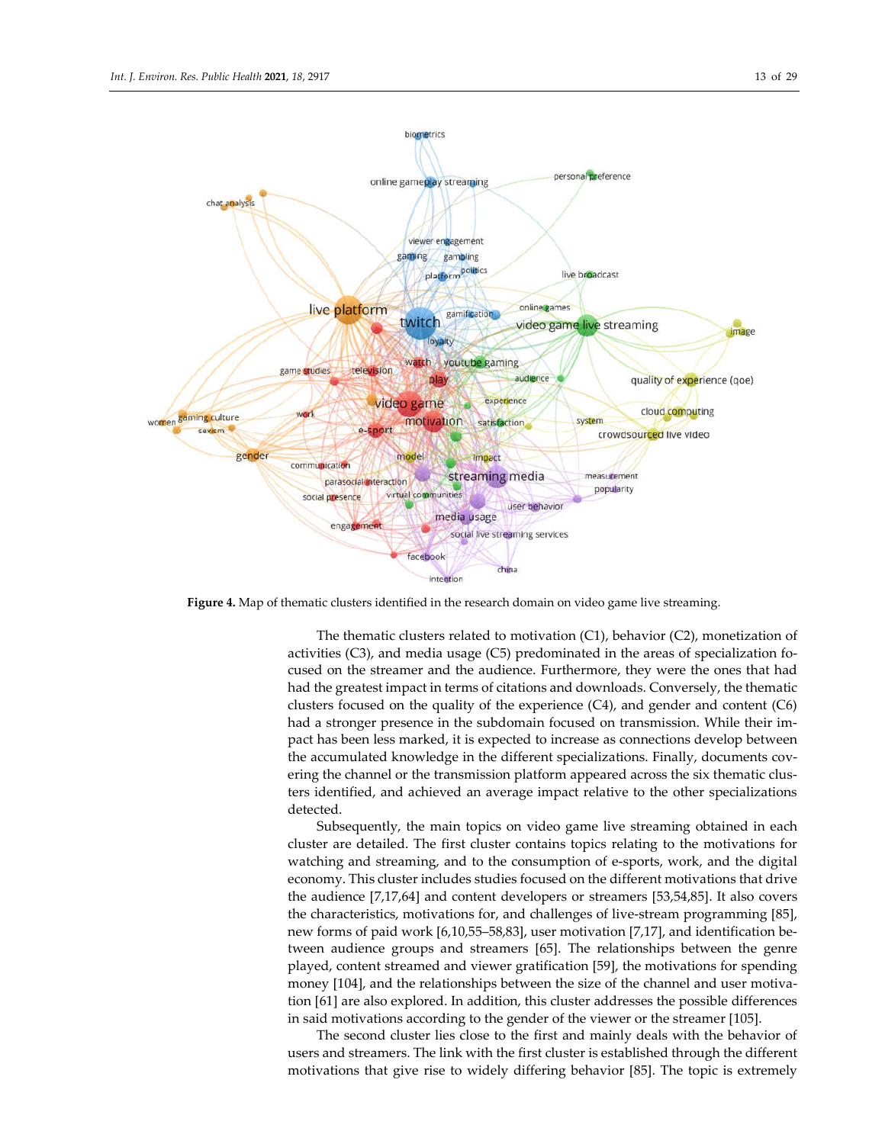

**Figure 4.** Map of thematic clusters identified in the research domain on video game live streaming.

The thematic clusters related to motivation (C1), behavior (C2), monetization of activities (C3), and media usage (C5) predominated in the areas of specialization focused on the streamer and the audience. Furthermore, they were the ones that had had the greatest impact in terms of citations and downloads. Conversely, the thematic clusters focused on the quality of the experience  $(C4)$ , and gender and content  $(C6)$ had a stronger presence in the subdomain focused on transmission. While their impact has been less marked, it is expected to increase as connections develop between the accumulated knowledge in the different specializations. Finally, documents covering the channel or the transmission platform appeared across the six thematic clusters identified, and achieved an average impact relative to the other specializations detected.

Subsequently, the main topics on video game live streaming obtained in each cluster are detailed. The first cluster contains topics relating to the motivations for watching and streaming, and to the consumption of e-sports, work, and the digital economy. This cluster includes studies focused on the different motivations that drive the audience [7,17,64] and content developers or streamers [53,54,85]. It also covers the characteristics, motivations for, and challenges of live-stream programming [85], new forms of paid work [6,10,55–58,83], user motivation [7,17], and identification between audience groups and streamers [65]. The relationships between the genre played, content streamed and viewer gratification [59], the motivations for spending money [104], and the relationships between the size of the channel and user motivation [61] are also explored. In addition, this cluster addresses the possible differences in said motivations according to the gender of the viewer or the streamer [105].

The second cluster lies close to the first and mainly deals with the behavior of users and streamers. The link with the first cluster is established through the different motivations that give rise to widely differing behavior [85]. The topic is extremely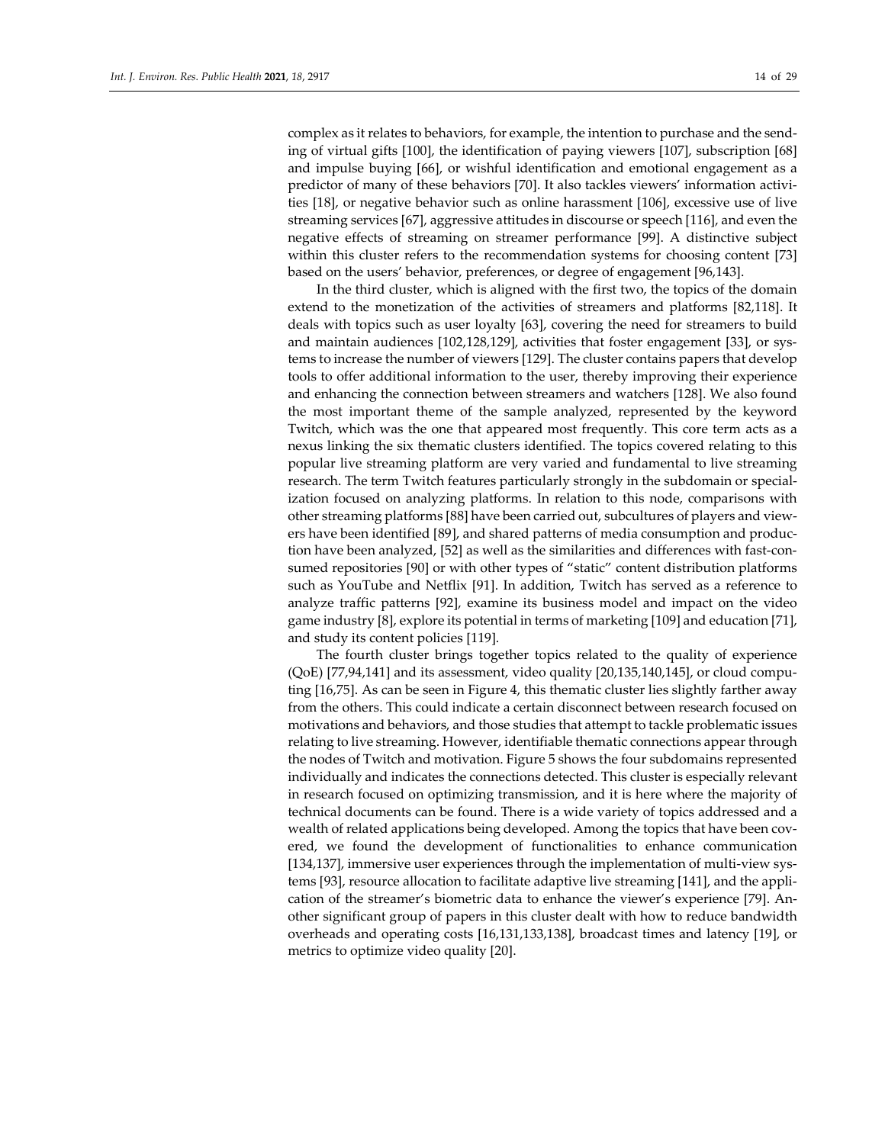complex as it relates to behaviors, for example, the intention to purchase and the sending of virtual gifts [100], the identification of paying viewers [107], subscription [68] and impulse buying [66], or wishful identification and emotional engagement as a predictor of many of these behaviors [70]. It also tackles viewers' information activities [18], or negative behavior such as online harassment [106], excessive use of live streaming services [67], aggressive attitudes in discourse or speech [116], and even the negative effects of streaming on streamer performance [99]. A distinctive subject within this cluster refers to the recommendation systems for choosing content [73] based on the users' behavior, preferences, or degree of engagement [96,143].

In the third cluster, which is aligned with the first two, the topics of the domain extend to the monetization of the activities of streamers and platforms [82,118]. It deals with topics such as user loyalty [63], covering the need for streamers to build and maintain audiences [102,128,129], activities that foster engagement [33], or systems to increase the number of viewers [129]. The cluster contains papers that develop tools to offer additional information to the user, thereby improving their experience and enhancing the connection between streamers and watchers [128]. We also found the most important theme of the sample analyzed, represented by the keyword Twitch, which was the one that appeared most frequently. This core term acts as a nexus linking the six thematic clusters identified. The topics covered relating to this popular live streaming platform are very varied and fundamental to live streaming research. The term Twitch features particularly strongly in the subdomain or specialization focused on analyzing platforms. In relation to this node, comparisons with other streaming platforms [88] have been carried out, subcultures of players and viewers have been identified [89], and shared patterns of media consumption and production have been analyzed, [52] as well as the similarities and differences with fast-consumed repositories [90] or with other types of "static" content distribution platforms such as YouTube and Netflix [91]. In addition, Twitch has served as a reference to analyze traffic patterns [92], examine its business model and impact on the video game industry [8], explore its potential in terms of marketing [109] and education [71], and study its content policies [119].

The fourth cluster brings together topics related to the quality of experience (QoE) [77,94,141] and its assessment, video quality [20,135,140,145], or cloud computing [16,75]. As can be seen in Figure 4, this thematic cluster lies slightly farther away from the others. This could indicate a certain disconnect between research focused on motivations and behaviors, and those studies that attempt to tackle problematic issues relating to live streaming. However, identifiable thematic connections appear through the nodes of Twitch and motivation. Figure 5 shows the four subdomains represented individually and indicates the connections detected. This cluster is especially relevant in research focused on optimizing transmission, and it is here where the majority of technical documents can be found. There is a wide variety of topics addressed and a wealth of related applications being developed. Among the topics that have been covered, we found the development of functionalities to enhance communication [134,137], immersive user experiences through the implementation of multi-view systems [93], resource allocation to facilitate adaptive live streaming [141], and the application of the streamer's biometric data to enhance the viewer's experience [79]. Another significant group of papers in this cluster dealt with how to reduce bandwidth overheads and operating costs [16,131,133,138], broadcast times and latency [19], or metrics to optimize video quality [20].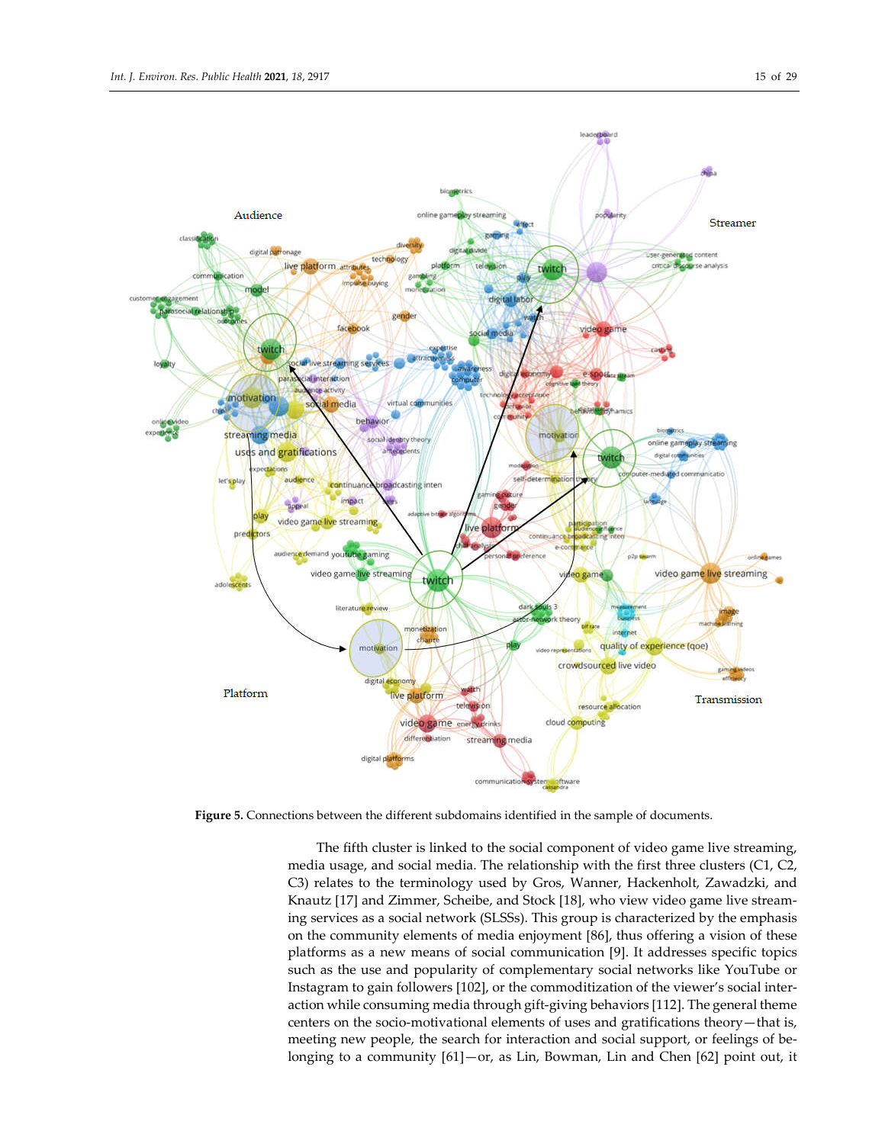

**Figure 5.** Connections between the different subdomains identified in the sample of documents.

The fifth cluster is linked to the social component of video game live streaming, media usage, and social media. The relationship with the first three clusters (C1, C2, C3) relates to the terminology used by Gros, Wanner, Hackenholt, Zawadzki, and Knautz [17] and Zimmer, Scheibe, and Stock [18], who view video game live streaming services as a social network (SLSSs). This group is characterized by the emphasis on the community elements of media enjoyment [86], thus offering a vision of these platforms as a new means of social communication [9]. It addresses specific topics such as the use and popularity of complementary social networks like YouTube or Instagram to gain followers [102], or the commoditization of the viewer's social interaction while consuming media through gift-giving behaviors [112]. The general theme centers on the socio-motivational elements of uses and gratifications theory—that is, meeting new people, the search for interaction and social support, or feelings of belonging to a community [61]—or, as Lin, Bowman, Lin and Chen [62] point out, it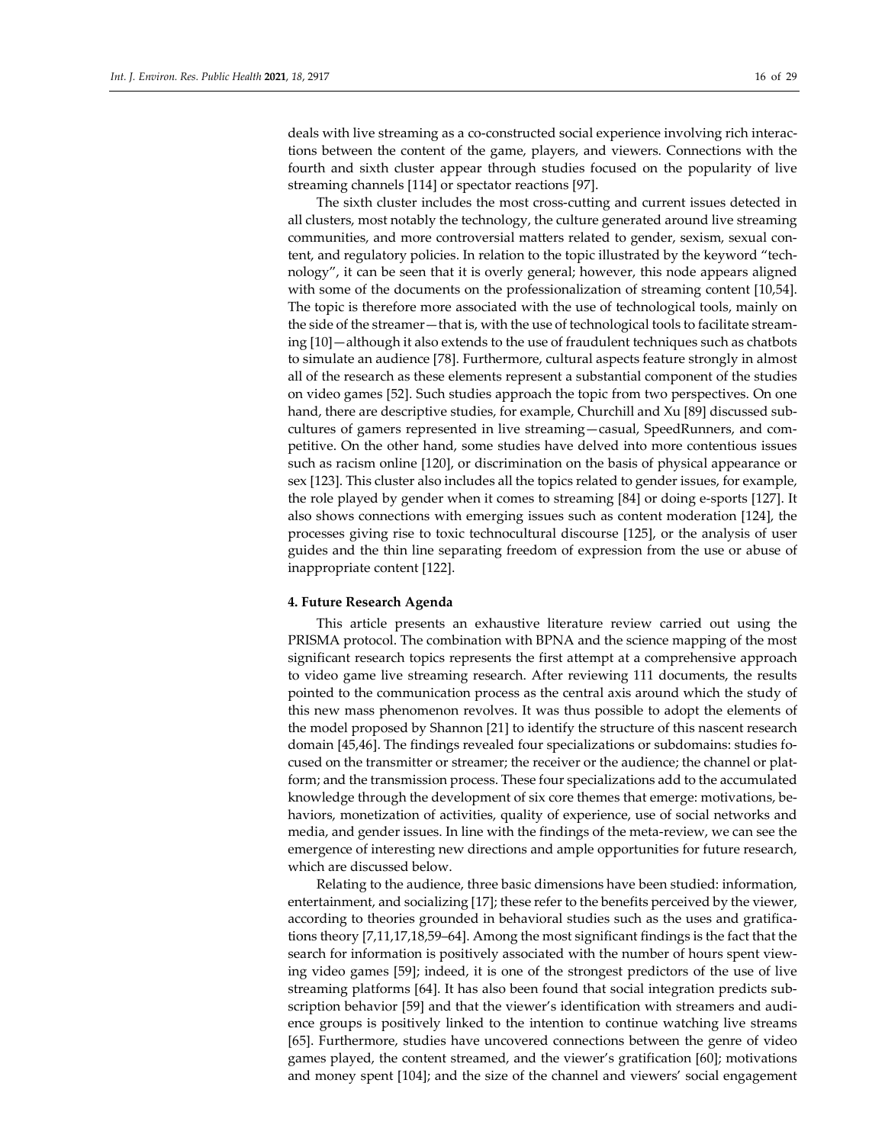deals with live streaming as a co-constructed social experience involving rich interactions between the content of the game, players, and viewers. Connections with the fourth and sixth cluster appear through studies focused on the popularity of live streaming channels [114] or spectator reactions [97].

The sixth cluster includes the most cross-cutting and current issues detected in all clusters, most notably the technology, the culture generated around live streaming communities, and more controversial matters related to gender, sexism, sexual content, and regulatory policies. In relation to the topic illustrated by the keyword "technology", it can be seen that it is overly general; however, this node appears aligned with some of the documents on the professionalization of streaming content [10,54]. The topic is therefore more associated with the use of technological tools, mainly on the side of the streamer—that is, with the use of technological tools to facilitate streaming [10]—although it also extends to the use of fraudulent techniques such as chatbots to simulate an audience [78]. Furthermore, cultural aspects feature strongly in almost all of the research as these elements represent a substantial component of the studies on video games [52]. Such studies approach the topic from two perspectives. On one hand, there are descriptive studies, for example, Churchill and Xu [89] discussed subcultures of gamers represented in live streaming—casual, SpeedRunners, and competitive. On the other hand, some studies have delved into more contentious issues such as racism online [120], or discrimination on the basis of physical appearance or sex [123]. This cluster also includes all the topics related to gender issues, for example, the role played by gender when it comes to streaming [84] or doing e-sports [127]. It also shows connections with emerging issues such as content moderation [124], the processes giving rise to toxic technocultural discourse [125], or the analysis of user guides and the thin line separating freedom of expression from the use or abuse of inappropriate content [122].

# **4. Future Research Agenda**

This article presents an exhaustive literature review carried out using the PRISMA protocol. The combination with BPNA and the science mapping of the most significant research topics represents the first attempt at a comprehensive approach to video game live streaming research. After reviewing 111 documents, the results pointed to the communication process as the central axis around which the study of this new mass phenomenon revolves. It was thus possible to adopt the elements of the model proposed by Shannon [21] to identify the structure of this nascent research domain [45,46]. The findings revealed four specializations or subdomains: studies focused on the transmitter or streamer; the receiver or the audience; the channel or platform; and the transmission process. These four specializations add to the accumulated knowledge through the development of six core themes that emerge: motivations, behaviors, monetization of activities, quality of experience, use of social networks and media, and gender issues. In line with the findings of the meta-review, we can see the emergence of interesting new directions and ample opportunities for future research, which are discussed below.

Relating to the audience, three basic dimensions have been studied: information, entertainment, and socializing [17]; these refer to the benefits perceived by the viewer, according to theories grounded in behavioral studies such as the uses and gratifications theory [7,11,17,18,59–64]. Among the most significant findings is the fact that the search for information is positively associated with the number of hours spent viewing video games [59]; indeed, it is one of the strongest predictors of the use of live streaming platforms [64]. It has also been found that social integration predicts subscription behavior [59] and that the viewer's identification with streamers and audience groups is positively linked to the intention to continue watching live streams [65]. Furthermore, studies have uncovered connections between the genre of video games played, the content streamed, and the viewer's gratification [60]; motivations and money spent [104]; and the size of the channel and viewers' social engagement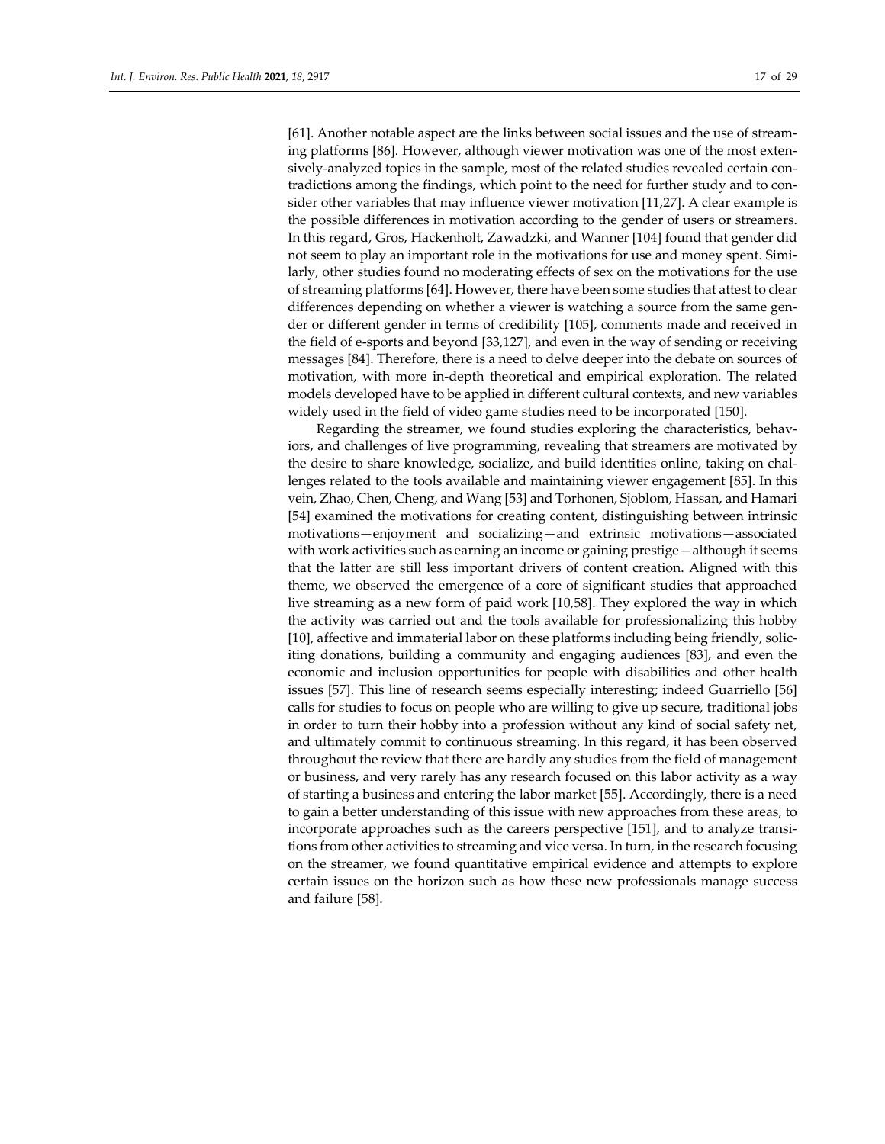[61]. Another notable aspect are the links between social issues and the use of streaming platforms [86]. However, although viewer motivation was one of the most extensively-analyzed topics in the sample, most of the related studies revealed certain contradictions among the findings, which point to the need for further study and to consider other variables that may influence viewer motivation [11,27]. A clear example is the possible differences in motivation according to the gender of users or streamers. In this regard, Gros, Hackenholt, Zawadzki, and Wanner [104] found that gender did not seem to play an important role in the motivations for use and money spent. Similarly, other studies found no moderating effects of sex on the motivations for the use of streaming platforms [64]. However, there have been some studies that attest to clear differences depending on whether a viewer is watching a source from the same gender or different gender in terms of credibility [105], comments made and received in the field of e-sports and beyond [33,127], and even in the way of sending or receiving messages [84]. Therefore, there is a need to delve deeper into the debate on sources of motivation, with more in-depth theoretical and empirical exploration. The related models developed have to be applied in different cultural contexts, and new variables widely used in the field of video game studies need to be incorporated [150].

Regarding the streamer, we found studies exploring the characteristics, behaviors, and challenges of live programming, revealing that streamers are motivated by the desire to share knowledge, socialize, and build identities online, taking on challenges related to the tools available and maintaining viewer engagement [85]. In this vein, Zhao, Chen, Cheng, and Wang [53] and Torhonen, Sjoblom, Hassan, and Hamari [54] examined the motivations for creating content, distinguishing between intrinsic motivations—enjoyment and socializing—and extrinsic motivations—associated with work activities such as earning an income or gaining prestige—although it seems that the latter are still less important drivers of content creation. Aligned with this theme, we observed the emergence of a core of significant studies that approached live streaming as a new form of paid work [10,58]. They explored the way in which the activity was carried out and the tools available for professionalizing this hobby [10], affective and immaterial labor on these platforms including being friendly, soliciting donations, building a community and engaging audiences [83], and even the economic and inclusion opportunities for people with disabilities and other health issues [57]. This line of research seems especially interesting; indeed Guarriello [56] calls for studies to focus on people who are willing to give up secure, traditional jobs in order to turn their hobby into a profession without any kind of social safety net, and ultimately commit to continuous streaming. In this regard, it has been observed throughout the review that there are hardly any studies from the field of management or business, and very rarely has any research focused on this labor activity as a way of starting a business and entering the labor market [55]. Accordingly, there is a need to gain a better understanding of this issue with new approaches from these areas, to incorporate approaches such as the careers perspective [151], and to analyze transitions from other activities to streaming and vice versa. In turn, in the research focusing on the streamer, we found quantitative empirical evidence and attempts to explore certain issues on the horizon such as how these new professionals manage success and failure [58].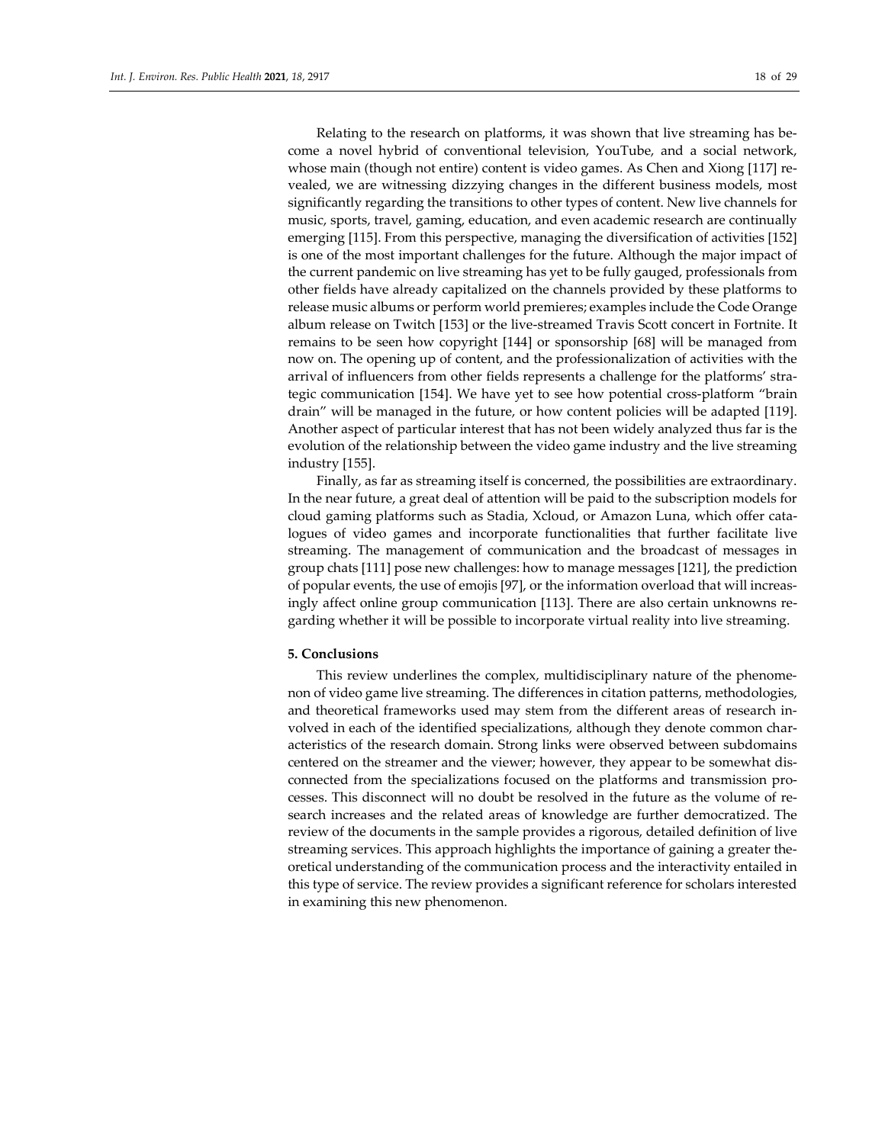Relating to the research on platforms, it was shown that live streaming has become a novel hybrid of conventional television, YouTube, and a social network, whose main (though not entire) content is video games. As Chen and Xiong [117] revealed, we are witnessing dizzying changes in the different business models, most significantly regarding the transitions to other types of content. New live channels for music, sports, travel, gaming, education, and even academic research are continually emerging [115]. From this perspective, managing the diversification of activities [152] is one of the most important challenges for the future. Although the major impact of the current pandemic on live streaming has yet to be fully gauged, professionals from other fields have already capitalized on the channels provided by these platforms to release music albums or perform world premieres; examples include the Code Orange album release on Twitch [153] or the live-streamed Travis Scott concert in Fortnite. It remains to be seen how copyright [144] or sponsorship [68] will be managed from now on. The opening up of content, and the professionalization of activities with the arrival of influencers from other fields represents a challenge for the platforms' strategic communication [154]. We have yet to see how potential cross-platform "brain drain" will be managed in the future, or how content policies will be adapted [119]. Another aspect of particular interest that has not been widely analyzed thus far is the evolution of the relationship between the video game industry and the live streaming industry [155].

Finally, as far as streaming itself is concerned, the possibilities are extraordinary. In the near future, a great deal of attention will be paid to the subscription models for cloud gaming platforms such as Stadia, Xcloud, or Amazon Luna, which offer catalogues of video games and incorporate functionalities that further facilitate live streaming. The management of communication and the broadcast of messages in group chats [111] pose new challenges: how to manage messages [121], the prediction of popular events, the use of emojis [97], or the information overload that will increasingly affect online group communication [113]. There are also certain unknowns regarding whether it will be possible to incorporate virtual reality into live streaming.

#### **5. Conclusions**

This review underlines the complex, multidisciplinary nature of the phenomenon of video game live streaming. The differences in citation patterns, methodologies, and theoretical frameworks used may stem from the different areas of research involved in each of the identified specializations, although they denote common characteristics of the research domain. Strong links were observed between subdomains centered on the streamer and the viewer; however, they appear to be somewhat disconnected from the specializations focused on the platforms and transmission processes. This disconnect will no doubt be resolved in the future as the volume of research increases and the related areas of knowledge are further democratized. The review of the documents in the sample provides a rigorous, detailed definition of live streaming services. This approach highlights the importance of gaining a greater theoretical understanding of the communication process and the interactivity entailed in this type of service. The review provides a significant reference for scholars interested in examining this new phenomenon.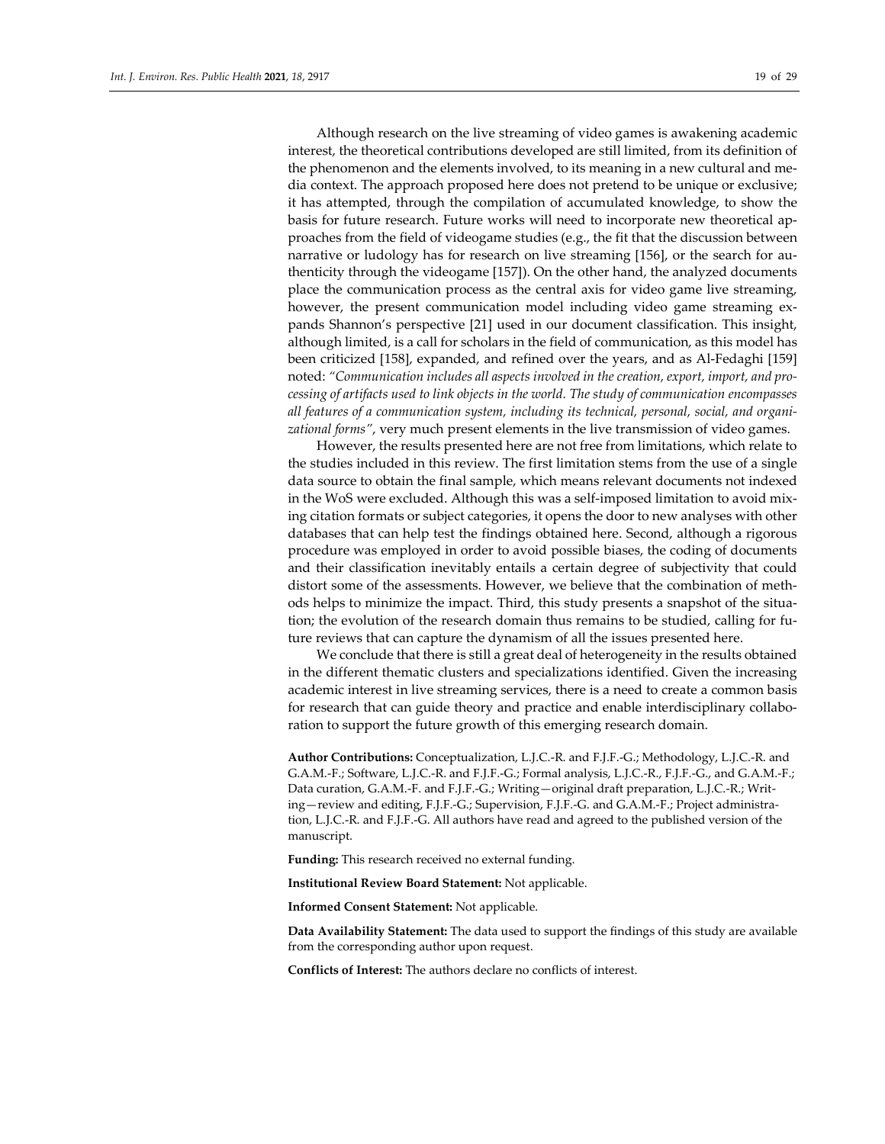Although research on the live streaming of video games is awakening academic interest, the theoretical contributions developed are still limited, from its definition of the phenomenon and the elements involved, to its meaning in a new cultural and media context. The approach proposed here does not pretend to be unique or exclusive; it has attempted, through the compilation of accumulated knowledge, to show the basis for future research. Future works will need to incorporate new theoretical approaches from the field of videogame studies (e.g., the fit that the discussion between narrative or ludology has for research on live streaming [156], or the search for authenticity through the videogame [157]). On the other hand, the analyzed documents place the communication process as the central axis for video game live streaming, however, the present communication model including video game streaming expands Shannon's perspective [21] used in our document classification. This insight, although limited, is a call for scholars in the field of communication, as this model has been criticized [158], expanded, and refined over the years, and as Al-Fedaghi [159] noted: *"Communication includes all aspects involved in the creation, export, import, and processing of artifacts used to link objects in the world. The study of communication encompasses all features of a communication system, including its technical, personal, social, and organizational forms"*, very much present elements in the live transmission of video games.

However, the results presented here are not free from limitations, which relate to the studies included in this review. The first limitation stems from the use of a single data source to obtain the final sample, which means relevant documents not indexed in the WoS were excluded. Although this was a self-imposed limitation to avoid mixing citation formats or subject categories, it opens the door to new analyses with other databases that can help test the findings obtained here. Second, although a rigorous procedure was employed in order to avoid possible biases, the coding of documents and their classification inevitably entails a certain degree of subjectivity that could distort some of the assessments. However, we believe that the combination of methods helps to minimize the impact. Third, this study presents a snapshot of the situation; the evolution of the research domain thus remains to be studied, calling for future reviews that can capture the dynamism of all the issues presented here.

We conclude that there is still a great deal of heterogeneity in the results obtained in the different thematic clusters and specializations identified. Given the increasing academic interest in live streaming services, there is a need to create a common basis for research that can guide theory and practice and enable interdisciplinary collaboration to support the future growth of this emerging research domain.

**Author Contributions:** Conceptualization, L.J.C.-R. and F.J.F.-G.; Methodology, L.J.C.-R. and G.A.M.-F.; Software, L.J.C.-R. and F.J.F.-G.; Formal analysis, L.J.C.-R., F.J.F.-G., and G.A.M.-F.; Data curation, G.A.M.-F. and F.J.F.-G.; Writing—original draft preparation, L.J.C.-R.; Writing—review and editing, F.J.F.-G.; Supervision, F.J.F.-G. and G.A.M.-F.; Project administration, L.J.C.-R. and F.J.F.-G. All authors have read and agreed to the published version of the manuscript.

**Funding:** This research received no external funding.

**Institutional Review Board Statement:** Not applicable.

**Informed Consent Statement:** Not applicable.

**Data Availability Statement:** The data used to support the findings of this study are available from the corresponding author upon request.

**Conflicts of Interest:** The authors declare no conflicts of interest.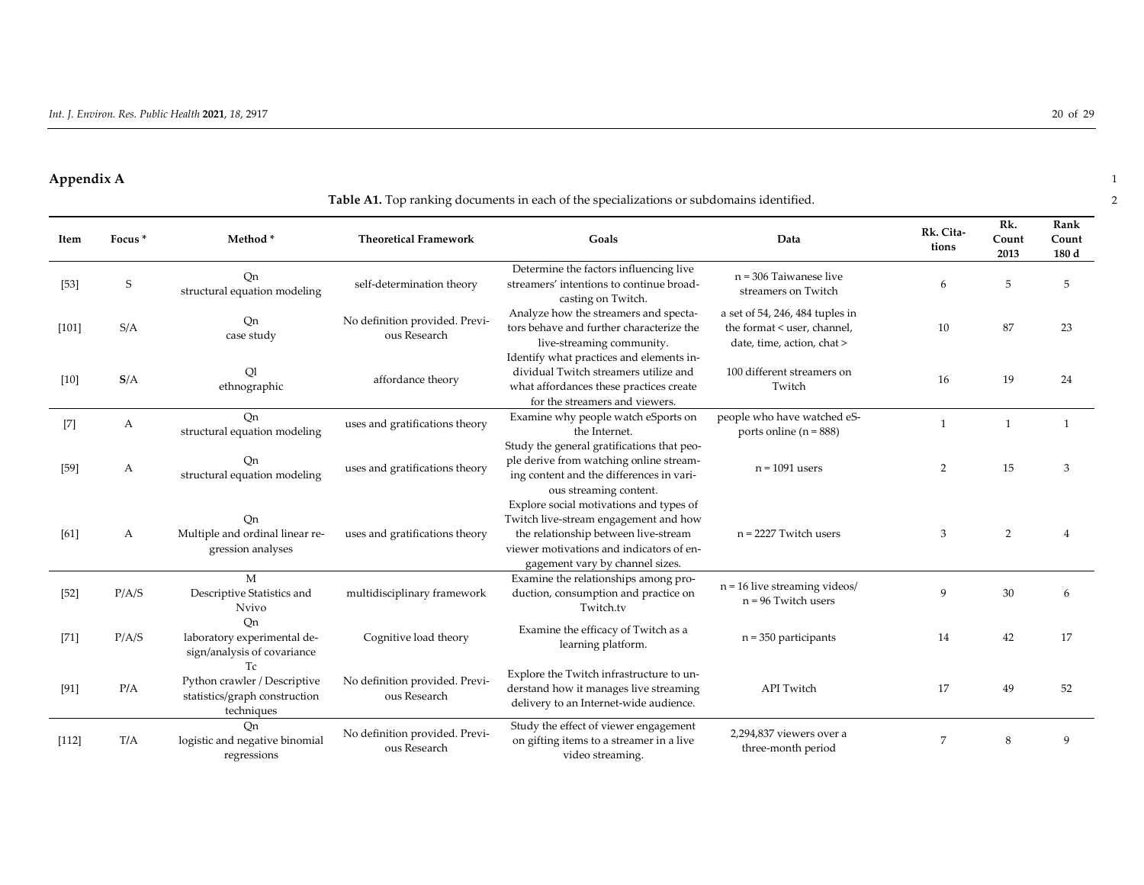#### **Appendix A** 1

# **Table A1.** Top ranking documents in each of the specializations or subdomains identified. 2

| Item    | Focus <sup>*</sup> | Method*                                                                           | <b>Theoretical Framework</b>                   | Goals                                                                                                                                                                                                   | Data                                                                                         | Rk. Cita-<br>tions | Rk.<br>Count<br>2013 | Rank<br>Count<br>180 d |
|---------|--------------------|-----------------------------------------------------------------------------------|------------------------------------------------|---------------------------------------------------------------------------------------------------------------------------------------------------------------------------------------------------------|----------------------------------------------------------------------------------------------|--------------------|----------------------|------------------------|
| $[53]$  | S                  | Qn<br>structural equation modeling                                                | self-determination theory                      | Determine the factors influencing live<br>streamers' intentions to continue broad-<br>casting on Twitch.                                                                                                | $n = 306$ Taiwanese live<br>streamers on Twitch                                              | 6                  | 5                    | 5                      |
| $[101]$ | S/A                | Qn<br>case study                                                                  | No definition provided. Previ-<br>ous Research | Analyze how the streamers and specta-<br>tors behave and further characterize the<br>live-streaming community.                                                                                          | a set of 54, 246, 484 tuples in<br>the format < user, channel,<br>date, time, action, chat > | 10                 | 87                   | 23                     |
| $[10]$  | S/A                | Q1<br>ethnographic                                                                | affordance theory                              | Identify what practices and elements in-<br>dividual Twitch streamers utilize and<br>what affordances these practices create<br>for the streamers and viewers.                                          | 100 different streamers on<br>Twitch                                                         | 16                 | 19                   | 24                     |
| $[7]$   | А                  | On<br>structural equation modeling                                                | uses and gratifications theory                 | Examine why people watch eSports on<br>the Internet.                                                                                                                                                    | people who have watched eS-<br>ports online ( $n = 888$ )                                    | $\mathbf{1}$       | $\mathbf{1}$         | $\mathbf{1}$           |
| $[59]$  | A                  | Qn<br>structural equation modeling                                                | uses and gratifications theory                 | Study the general gratifications that peo-<br>ple derive from watching online stream-<br>ing content and the differences in vari-<br>ous streaming content.                                             | $n = 1091$ users                                                                             | 2                  | 15                   | 3                      |
| [61]    | A                  | Qn<br>Multiple and ordinal linear re-<br>gression analyses                        | uses and gratifications theory                 | Explore social motivations and types of<br>Twitch live-stream engagement and how<br>the relationship between live-stream<br>viewer motivations and indicators of en-<br>gagement vary by channel sizes. | $n = 2227$ Twitch users                                                                      | 3                  | 2                    |                        |
| $[52]$  | P/A/S              | M<br>Descriptive Statistics and<br><b>Nvivo</b>                                   | multidisciplinary framework                    | Examine the relationships among pro-<br>duction, consumption and practice on<br>Twitch.tv                                                                                                               | $n = 16$ live streaming videos/<br>$n = 96$ Twitch users                                     | 9                  | 30                   | 6                      |
| $[71]$  | P/A/S              | On<br>laboratory experimental de-<br>sign/analysis of covariance                  | Cognitive load theory                          | Examine the efficacy of Twitch as a<br>learning platform.                                                                                                                                               | $n = 350$ participants                                                                       | 14                 | 42                   | 17                     |
| $[91]$  | P/A                | Tc<br>Python crawler / Descriptive<br>statistics/graph construction<br>techniques | No definition provided. Previ-<br>ous Research | Explore the Twitch infrastructure to un-<br>derstand how it manages live streaming<br>delivery to an Internet-wide audience.                                                                            | <b>API</b> Twitch                                                                            | 17                 | 49                   | 52                     |
| [112]   | T/A                | Qn<br>logistic and negative binomial<br>regressions                               | No definition provided. Previ-<br>ous Research | Study the effect of viewer engagement<br>on gifting items to a streamer in a live<br>video streaming.                                                                                                   | 2,294,837 viewers over a<br>three-month period                                               | 7                  | 8                    | 9                      |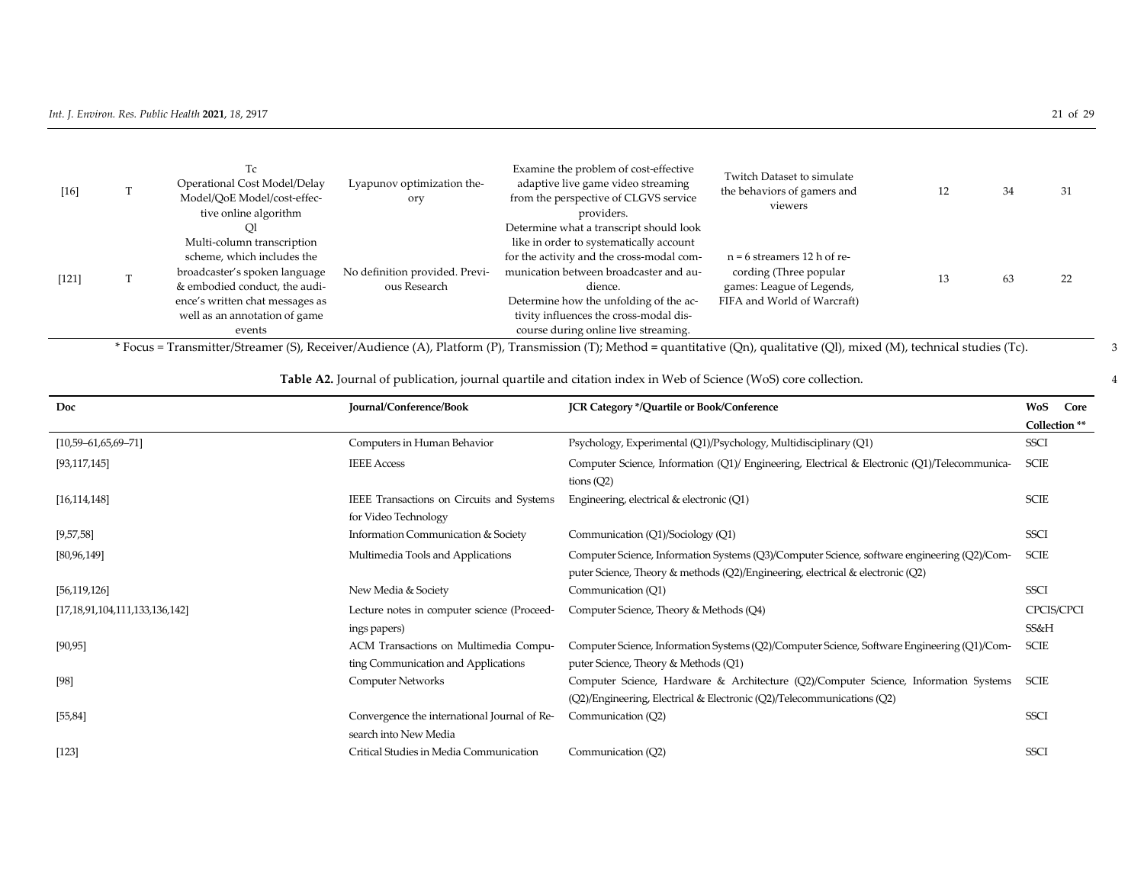| $[16]$  | Тc<br>Operational Cost Model/Delay<br>Model/QoE Model/cost-effec-<br>tive online algorithm | Lyapunov optimization the-<br>ory              | Examine the problem of cost-effective<br>adaptive live game video streaming<br>from the perspective of CLGVS service<br>providers. | Twitch Dataset to simulate<br>the behaviors of gamers and<br>viewers | 14 | 34 | 31 |
|---------|--------------------------------------------------------------------------------------------|------------------------------------------------|------------------------------------------------------------------------------------------------------------------------------------|----------------------------------------------------------------------|----|----|----|
|         | Multi-column transcription                                                                 |                                                | Determine what a transcript should look<br>like in order to systematically account                                                 |                                                                      |    |    |    |
|         | scheme, which includes the                                                                 |                                                | for the activity and the cross-modal com-                                                                                          | $n = 6$ streamers 12 h of re-                                        |    |    |    |
| $[121]$ | broadcaster's spoken language<br>& embodied conduct, the audi-                             | No definition provided. Previ-<br>ous Research | munication between broadcaster and au-<br>dience.                                                                                  | cording (Three popular<br>games: League of Legends,                  | 10 | 63 | 22 |
|         | ence's written chat messages as                                                            |                                                | Determine how the unfolding of the ac-                                                                                             | FIFA and World of Warcraft)                                          |    |    |    |
|         | well as an annotation of game                                                              |                                                | tivity influences the cross-modal dis-                                                                                             |                                                                      |    |    |    |
|         | events                                                                                     |                                                | course during online live streaming.                                                                                               |                                                                      |    |    |    |

\* Focus = Transmitter/Streamer (S), Receiver/Audience (A), Platform (P), Transmission (T); Method **=** quantitative (Qn), qualitative (Ql), mixed (M), technical studies (Tc). 3

# **Table A2.** Journal of publication, journal quartile and citation index in Web of Science (WoS) core collection. 4

| Doc                                   | Journal/Conference/Book                                                      | JCR Category */Quartile or Book/Conference                                                                                                                                    | WoS<br>Core        |
|---------------------------------------|------------------------------------------------------------------------------|-------------------------------------------------------------------------------------------------------------------------------------------------------------------------------|--------------------|
|                                       |                                                                              |                                                                                                                                                                               | Collection **      |
| $[10,59 - 61,65,69 - 71]$             | Computers in Human Behavior                                                  | Psychology, Experimental (Q1)/Psychology, Multidisciplinary (Q1)                                                                                                              | <b>SSCI</b>        |
| [93, 117, 145]                        | <b>IEEE</b> Access                                                           | Computer Science, Information (Q1)/ Engineering, Electrical & Electronic (Q1)/Telecommunica-<br>tions $(Q2)$                                                                  | SCIE               |
| [16, 114, 148]                        | IEEE Transactions on Circuits and Systems<br>for Video Technology            | Engineering, electrical & electronic (Q1)                                                                                                                                     | <b>SCIE</b>        |
| [9,57,58]                             | Information Communication & Society                                          | Communication (Q1)/Sociology (Q1)                                                                                                                                             | <b>SSCI</b>        |
| [80, 96, 149]                         | Multimedia Tools and Applications                                            | Computer Science, Information Systems (Q3)/Computer Science, software engineering (Q2)/Com-<br>puter Science, Theory & methods (Q2)/Engineering, electrical & electronic (Q2) | SCIE               |
| [56, 119, 126]                        | New Media & Society                                                          | Communication (Q1)                                                                                                                                                            | <b>SSCI</b>        |
| [17, 18, 91, 104, 111, 133, 136, 142] | Lecture notes in computer science (Proceed-<br>ings papers)                  | Computer Science, Theory & Methods (Q4)                                                                                                                                       | CPCIS/CPCI<br>SS&H |
| [90, 95]                              | ACM Transactions on Multimedia Compu-<br>ting Communication and Applications | Computer Science, Information Systems (Q2)/Computer Science, Software Engineering (Q1)/Com-<br>puter Science, Theory & Methods (Q1)                                           | SCIE               |
| [98]                                  | <b>Computer Networks</b>                                                     | Computer Science, Hardware & Architecture (Q2)/Computer Science, Information Systems<br>(Q2)/Engineering, Electrical & Electronic (Q2)/Telecommunications (Q2)                | SCIE               |
| [55, 84]                              | Convergence the international Journal of Re-<br>search into New Media        | Communication (Q2)                                                                                                                                                            | <b>SSCI</b>        |
| $[123]$                               | Critical Studies in Media Communication                                      | Communication (Q2)                                                                                                                                                            | <b>SSCI</b>        |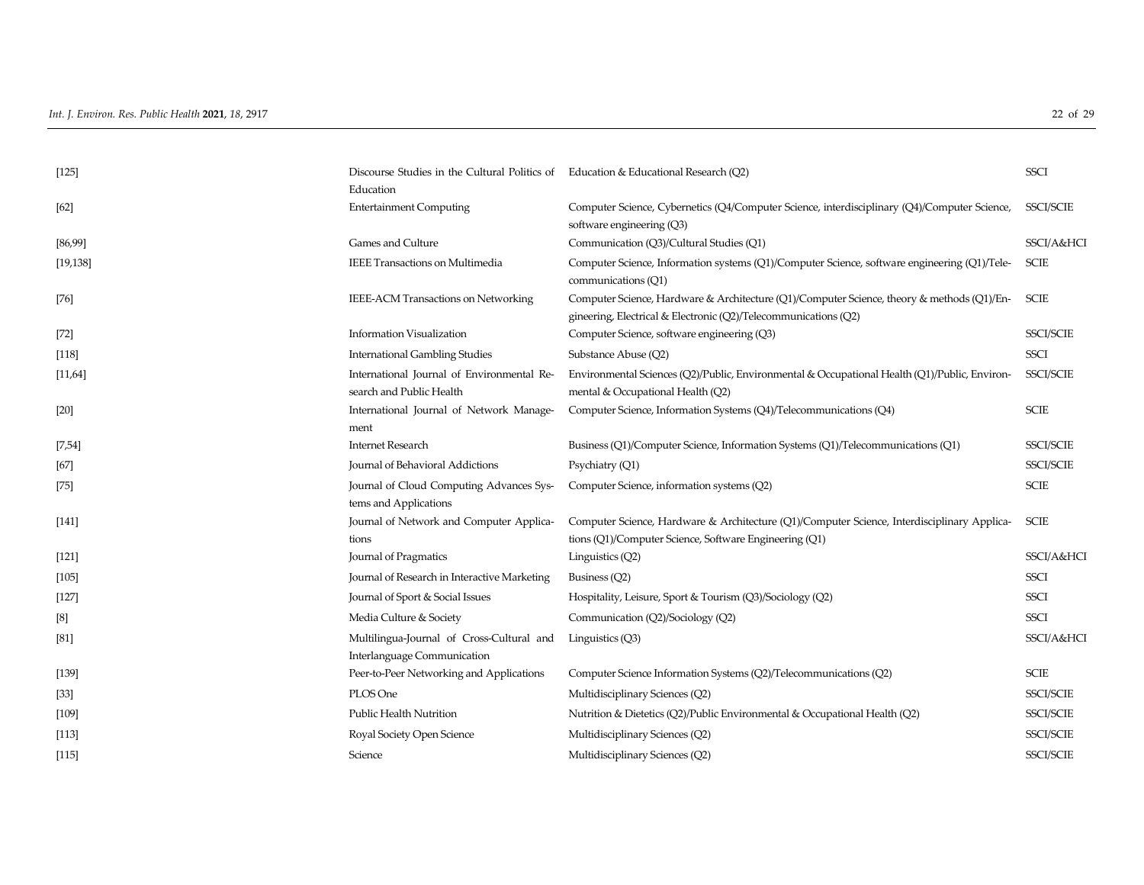| [125]     | Discourse Studies in the Cultural Politics of Education & Educational Research (Q2)<br>Education |                                                                                                                                                               | <b>SSCI</b>      |
|-----------|--------------------------------------------------------------------------------------------------|---------------------------------------------------------------------------------------------------------------------------------------------------------------|------------------|
| $[62]$    | <b>Entertainment Computing</b>                                                                   | Computer Science, Cybernetics (Q4/Computer Science, interdisciplinary (Q4)/Computer Science,<br>software engineering (Q3)                                     | <b>SSCI/SCIE</b> |
| [86,99]   | Games and Culture                                                                                | Communication (Q3)/Cultural Studies (Q1)                                                                                                                      | SSCI/A&HCI       |
| [19, 138] | <b>IEEE Transactions on Multimedia</b>                                                           | Computer Science, Information systems (Q1)/Computer Science, software engineering (Q1)/Tele-<br>communications (Q1)                                           | <b>SCIE</b>      |
| $[76]$    | IEEE-ACM Transactions on Networking                                                              | Computer Science, Hardware & Architecture (Q1)/Computer Science, theory & methods (Q1)/En-<br>gineering, Electrical & Electronic (Q2)/Telecommunications (Q2) | <b>SCIE</b>      |
| $[72]$    | <b>Information Visualization</b>                                                                 | Computer Science, software engineering (Q3)                                                                                                                   | <b>SSCI/SCIE</b> |
| [118]     | <b>International Gambling Studies</b>                                                            | Substance Abuse (Q2)                                                                                                                                          | <b>SSCI</b>      |
| [11,64]   | International Journal of Environmental Re-<br>search and Public Health                           | Environmental Sciences (Q2)/Public, Environmental & Occupational Health (Q1)/Public, Environ-<br>mental & Occupational Health (Q2)                            | <b>SSCI/SCIE</b> |
| $[20]$    | International Journal of Network Manage-<br>ment                                                 | Computer Science, Information Systems (Q4)/Telecommunications (Q4)                                                                                            | <b>SCIE</b>      |
| [7,54]    | <b>Internet Research</b>                                                                         | Business (Q1)/Computer Science, Information Systems (Q1)/Telecommunications (Q1)                                                                              | SSCI/SCIE        |
| $[67]$    | Journal of Behavioral Addictions                                                                 | Psychiatry (Q1)                                                                                                                                               | SSCI/SCIE        |
| $[75]$    | Journal of Cloud Computing Advances Sys-<br>tems and Applications                                | Computer Science, information systems (Q2)                                                                                                                    | <b>SCIE</b>      |
| [141]     | Journal of Network and Computer Applica-<br>tions                                                | Computer Science, Hardware & Architecture (Q1)/Computer Science, Interdisciplinary Applica-<br>tions (Q1)/Computer Science, Software Engineering (Q1)         | <b>SCIE</b>      |
| [121]     | Journal of Pragmatics                                                                            | Linguistics (Q2)                                                                                                                                              | SSCI/A&HCI       |
| [105]     | Journal of Research in Interactive Marketing                                                     | Business (Q2)                                                                                                                                                 | <b>SSCI</b>      |
| $[127]$   | Journal of Sport & Social Issues                                                                 | Hospitality, Leisure, Sport & Tourism (Q3)/Sociology (Q2)                                                                                                     | <b>SSCI</b>      |
| [8]       | Media Culture & Society                                                                          | Communication (Q2)/Sociology (Q2)                                                                                                                             | <b>SSCI</b>      |
| [81]      | Multilingua-Journal of Cross-Cultural and<br>Interlanguage Communication                         | Linguistics (Q3)                                                                                                                                              | SSCI/A&HCI       |
| [139]     | Peer-to-Peer Networking and Applications                                                         | Computer Science Information Systems (Q2)/Telecommunications (Q2)                                                                                             | <b>SCIE</b>      |
| $[33]$    | PLOS One                                                                                         | Multidisciplinary Sciences (Q2)                                                                                                                               | SSCI/SCIE        |
| [109]     | Public Health Nutrition                                                                          | Nutrition & Dietetics (Q2)/Public Environmental & Occupational Health (Q2)                                                                                    | <b>SSCI/SCIE</b> |
| [113]     | Royal Society Open Science                                                                       | Multidisciplinary Sciences (Q2)                                                                                                                               | <b>SSCI/SCIE</b> |
| [115]     | Science                                                                                          | Multidisciplinary Sciences (Q2)                                                                                                                               | <b>SSCI/SCIE</b> |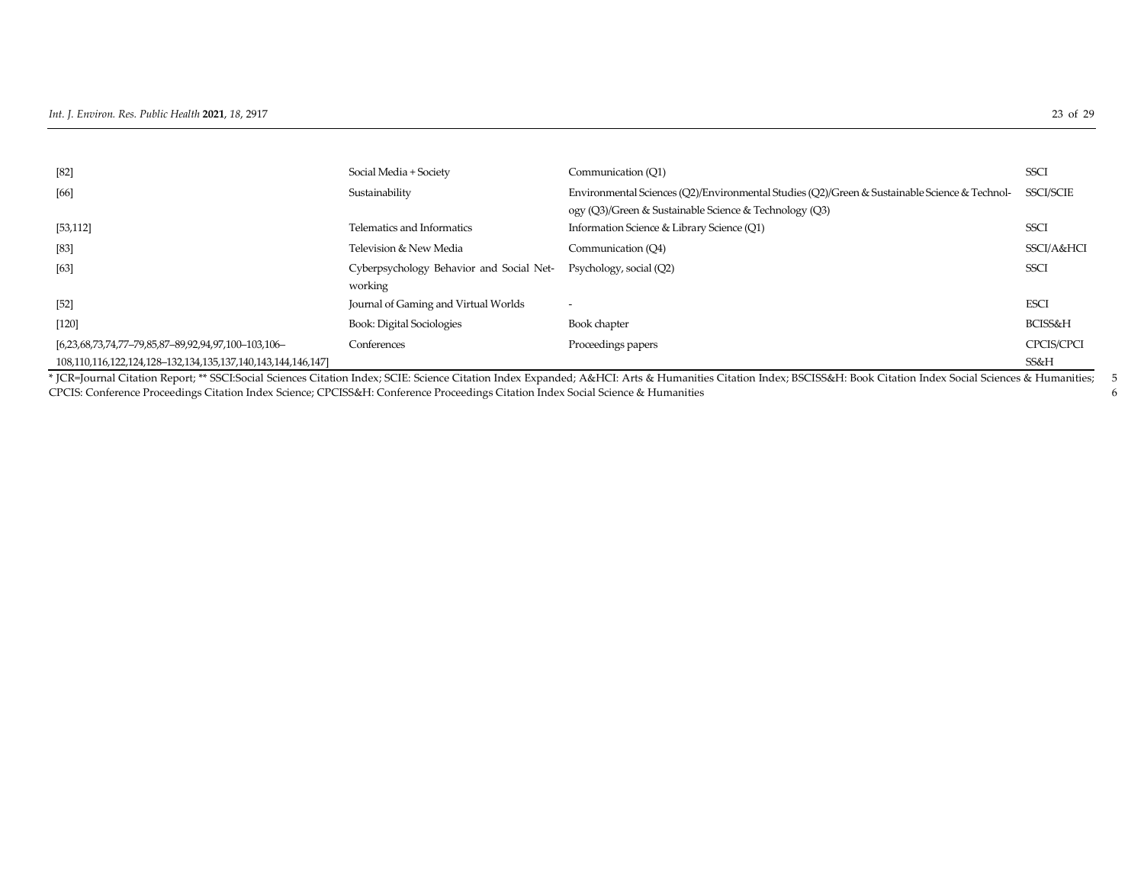| $[82]$                                                       | Social Media + Society                   | Communication (O1)                                                                                                                                                                                                 | <b>SSCI</b>      |
|--------------------------------------------------------------|------------------------------------------|--------------------------------------------------------------------------------------------------------------------------------------------------------------------------------------------------------------------|------------------|
| [66]                                                         | Sustainability                           | Environmental Sciences (O2)/Environmental Studies (O2)/Green & Sustainable Science & Technol-                                                                                                                      | <b>SSCI/SCIE</b> |
|                                                              |                                          | ogy (Q3)/Green & Sustainable Science & Technology (Q3)                                                                                                                                                             |                  |
| [53, 112]                                                    | Telematics and Informatics               | Information Science & Library Science (Q1)                                                                                                                                                                         | <b>SSCI</b>      |
| $[83]$                                                       | Television & New Media                   | Communication (O4)                                                                                                                                                                                                 | SSCI/A&HCI       |
| [63]                                                         | Cyberpsychology Behavior and Social Net- | Psychology, social (Q2)                                                                                                                                                                                            | <b>SSCI</b>      |
|                                                              | working                                  |                                                                                                                                                                                                                    |                  |
| $[52]$                                                       | Journal of Gaming and Virtual Worlds     | $\overline{\phantom{a}}$                                                                                                                                                                                           | <b>ESCI</b>      |
| $[120]$                                                      | <b>Book: Digital Sociologies</b>         | Book chapter                                                                                                                                                                                                       | BCISS&H          |
| [6,23,68,73,74,77-79,85,87-89,92,94,97,100-103,106-          | Conferences                              | Proceedings papers                                                                                                                                                                                                 | CPCIS/CPCI       |
| 108,110,116,122,124,128-132,134,135,137,140,143,144,146,147] |                                          |                                                                                                                                                                                                                    | SS&H             |
|                                                              |                                          | * JCR=Journal Citation Report; ** SSCI:Social Sciences Citation Index; SCIE: Science Citation Index Expanded; A&HCI: Arts & Humanities Citation Index; BSCISS&H: Book Citation Index Social Sciences & Humanities; |                  |

CPCIS: Conference Proceedings Citation Index Science; CPCISS&H: Conference Proceedings Citation Index Social Science & Humanities 6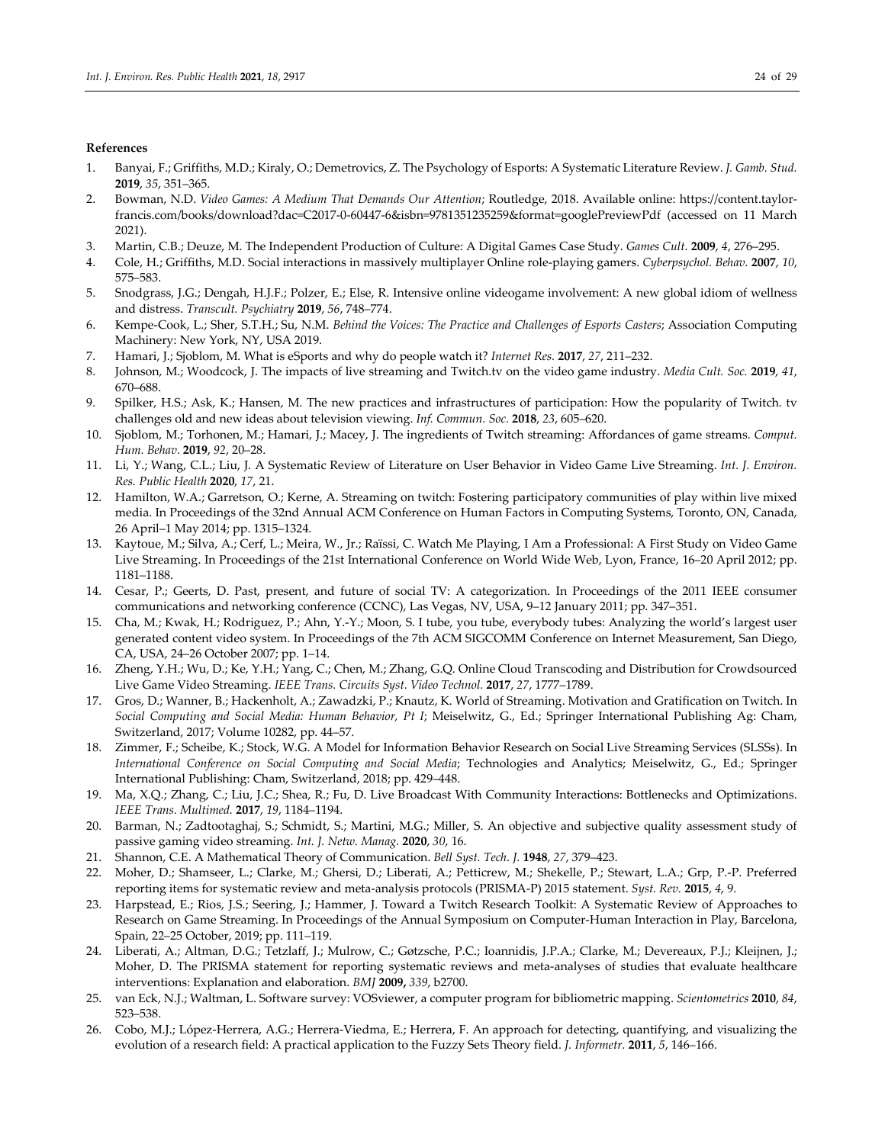#### **References**

- 1. Banyai, F.; Griffiths, M.D.; Kiraly, O.; Demetrovics, Z. The Psychology of Esports: A Systematic Literature Review. *J. Gamb. Stud.*  **2019**, *35*, 351–365.
- 2. Bowman, N.D. *Video Games: A Medium That Demands Our Attention*; Routledge, 2018. Available online: https://content.taylorfrancis.com/books/download?dac=C2017-0-60447-6&isbn=9781351235259&format=googlePreviewPdf (accessed on 11 March 2021).
- 3. Martin, C.B.; Deuze, M. The Independent Production of Culture: A Digital Games Case Study. *Games Cult.* **2009**, *4*, 276–295.
- 4. Cole, H.; Griffiths, M.D. Social interactions in massively multiplayer Online role-playing gamers. *Cyberpsychol. Behav.* **2007**, *10*, 575–583.
- 5. Snodgrass, J.G.; Dengah, H.J.F.; Polzer, E.; Else, R. Intensive online videogame involvement: A new global idiom of wellness and distress. *Transcult. Psychiatry* **2019**, *56*, 748–774.
- 6. Kempe-Cook, L.; Sher, S.T.H.; Su, N.M. *Behind the Voices: The Practice and Challenges of Esports Casters*; Association Computing Machinery: New York, NY, USA 2019.
- 7. Hamari, J.; Sjoblom, M. What is eSports and why do people watch it? *Internet Res.* **2017**, *27*, 211–232.
- 8. Johnson, M.; Woodcock, J. The impacts of live streaming and Twitch.tv on the video game industry. *Media Cult. Soc.* **2019**, *41*, 670–688.
- 9. Spilker, H.S.; Ask, K.; Hansen, M. The new practices and infrastructures of participation: How the popularity of Twitch. tv challenges old and new ideas about television viewing. *Inf. Commun. Soc.* **2018**, *23*, 605–620.
- 10. Sjoblom, M.; Torhonen, M.; Hamari, J.; Macey, J. The ingredients of Twitch streaming: Affordances of game streams. *Comput. Hum. Behav.* **2019**, *92*, 20–28.
- 11. Li, Y.; Wang, C.L.; Liu, J. A Systematic Review of Literature on User Behavior in Video Game Live Streaming. *Int. J. Environ. Res. Public Health* **2020**, *17*, 21.
- 12. Hamilton, W.A.; Garretson, O.; Kerne, A. Streaming on twitch: Fostering participatory communities of play within live mixed media. In Proceedings of the 32nd Annual ACM Conference on Human Factors in Computing Systems, Toronto, ON, Canada, 26 April–1 May 2014; pp. 1315–1324.
- 13. Kaytoue, M.; Silva, A.; Cerf, L.; Meira, W., Jr.; Raïssi, C. Watch Me Playing, I Am a Professional: A First Study on Video Game Live Streaming. In Proceedings of the 21st International Conference on World Wide Web, Lyon, France, 16–20 April 2012; pp. 1181–1188.
- 14. Cesar, P.; Geerts, D. Past, present, and future of social TV: A categorization. In Proceedings of the 2011 IEEE consumer communications and networking conference (CCNC), Las Vegas, NV, USA, 9–12 January 2011; pp. 347–351.
- 15. Cha, M.; Kwak, H.; Rodriguez, P.; Ahn, Y.-Y.; Moon, S. I tube, you tube, everybody tubes: Analyzing the world's largest user generated content video system. In Proceedings of the 7th ACM SIGCOMM Conference on Internet Measurement, San Diego, CA, USA, 24–26 October 2007; pp. 1–14.
- 16. Zheng, Y.H.; Wu, D.; Ke, Y.H.; Yang, C.; Chen, M.; Zhang, G.Q. Online Cloud Transcoding and Distribution for Crowdsourced Live Game Video Streaming. *IEEE Trans. Circuits Syst. Video Technol.* **2017**, *27*, 1777–1789.
- 17. Gros, D.; Wanner, B.; Hackenholt, A.; Zawadzki, P.; Knautz, K. World of Streaming. Motivation and Gratification on Twitch. In *Social Computing and Social Media: Human Behavior, Pt I*; Meiselwitz, G., Ed.; Springer International Publishing Ag: Cham, Switzerland, 2017; Volume 10282, pp. 44–57.
- 18. Zimmer, F.; Scheibe, K.; Stock, W.G. A Model for Information Behavior Research on Social Live Streaming Services (SLSSs). In *International Conference on Social Computing and Social Media*; Technologies and Analytics; Meiselwitz, G., Ed.; Springer International Publishing: Cham, Switzerland, 2018; pp. 429–448.
- 19. Ma, X.Q.; Zhang, C.; Liu, J.C.; Shea, R.; Fu, D. Live Broadcast With Community Interactions: Bottlenecks and Optimizations. *IEEE Trans. Multimed.* **2017**, *19*, 1184–1194.
- 20. Barman, N.; Zadtootaghaj, S.; Schmidt, S.; Martini, M.G.; Miller, S. An objective and subjective quality assessment study of passive gaming video streaming. *Int. J. Netw. Manag.* **2020**, *30*, 16.
- 21. Shannon, C.E. A Mathematical Theory of Communication. *Bell Syst. Tech. J.* **1948**, *27*, 379–423.
- 22. Moher, D.; Shamseer, L.; Clarke, M.; Ghersi, D.; Liberati, A.; Petticrew, M.; Shekelle, P.; Stewart, L.A.; Grp, P.-P. Preferred reporting items for systematic review and meta-analysis protocols (PRISMA-P) 2015 statement. *Syst. Rev.* **2015**, *4*, 9.
- 23. Harpstead, E.; Rios, J.S.; Seering, J.; Hammer, J. Toward a Twitch Research Toolkit: A Systematic Review of Approaches to Research on Game Streaming. In Proceedings of the Annual Symposium on Computer-Human Interaction in Play, Barcelona, Spain, 22–25 October, 2019; pp. 111–119.
- 24. Liberati, A.; Altman, D.G.; Tetzlaff, J.; Mulrow, C.; Gøtzsche, P.C.; Ioannidis, J.P.A.; Clarke, M.; Devereaux, P.J.; Kleijnen, J.; Moher, D. The PRISMA statement for reporting systematic reviews and meta-analyses of studies that evaluate healthcare interventions: Explanation and elaboration. *BMJ* **2009,** *339*, b2700.
- 25. van Eck, N.J.; Waltman, L. Software survey: VOSviewer, a computer program for bibliometric mapping. *Scientometrics* **2010**, *84*, 523–538.
- 26. Cobo, M.J.; López-Herrera, A.G.; Herrera-Viedma, E.; Herrera, F. An approach for detecting, quantifying, and visualizing the evolution of a research field: A practical application to the Fuzzy Sets Theory field. *J. Informetr.* **2011**, *5*, 146–166.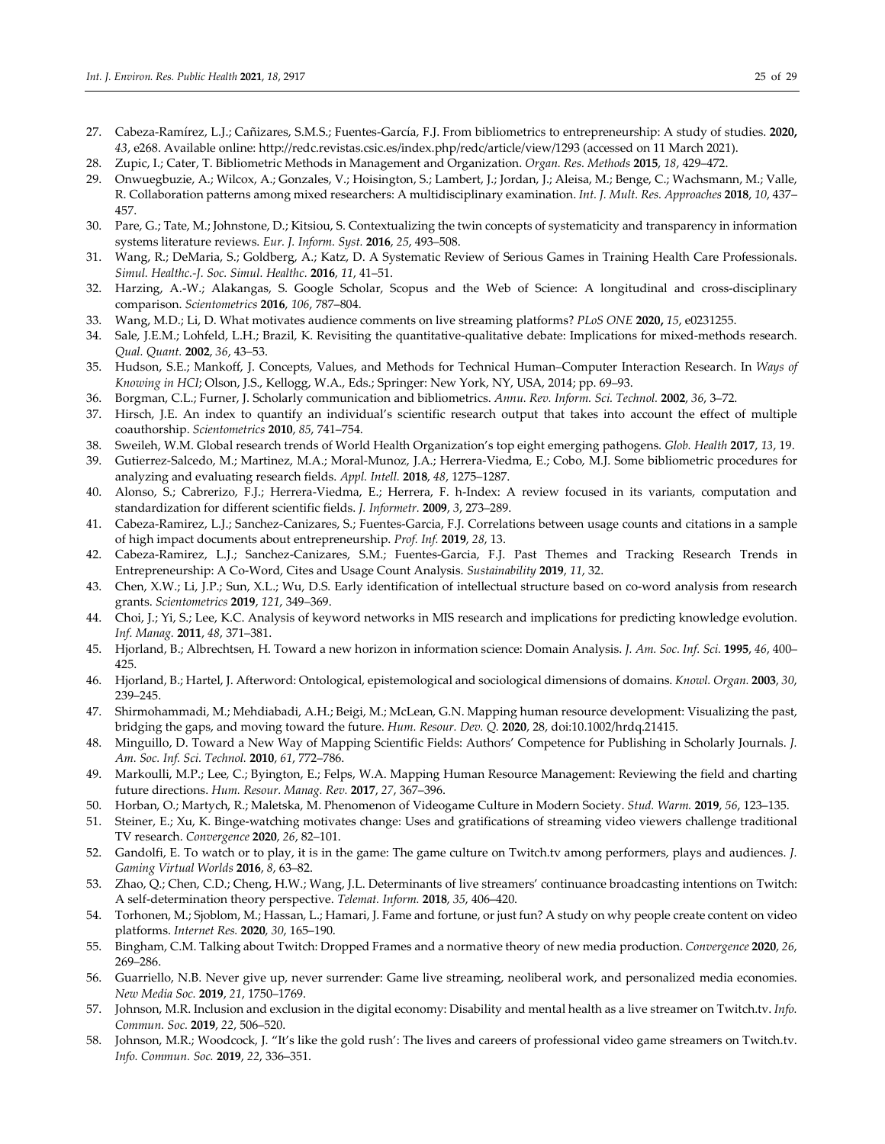- 27. Cabeza-Ramírez, L.J.; Cañizares, S.M.S.; Fuentes-García, F.J. From bibliometrics to entrepreneurship: A study of studies. **2020,** *43*, e268. Available online: http://redc.revistas.csic.es/index.php/redc/article/view/1293 (accessed on 11 March 2021).
- 28. Zupic, I.; Cater, T. Bibliometric Methods in Management and Organization. *Organ. Res. Methods* **2015**, *18*, 429–472.
- 29. Onwuegbuzie, A.; Wilcox, A.; Gonzales, V.; Hoisington, S.; Lambert, J.; Jordan, J.; Aleisa, M.; Benge, C.; Wachsmann, M.; Valle, R. Collaboration patterns among mixed researchers: A multidisciplinary examination. *Int. J. Mult. Res. Approaches* **2018**, *10*, 437– 457.
- 30. Pare, G.; Tate, M.; Johnstone, D.; Kitsiou, S. Contextualizing the twin concepts of systematicity and transparency in information systems literature reviews. *Eur. J. Inform. Syst.* **2016**, *25*, 493–508.
- 31. Wang, R.; DeMaria, S.; Goldberg, A.; Katz, D. A Systematic Review of Serious Games in Training Health Care Professionals. *Simul. Healthc.-J. Soc. Simul. Healthc.* **2016**, *11*, 41–51.
- 32. Harzing, A.-W.; Alakangas, S. Google Scholar, Scopus and the Web of Science: A longitudinal and cross-disciplinary comparison. *Scientometrics* **2016**, *106*, 787–804.
- 33. Wang, M.D.; Li, D. What motivates audience comments on live streaming platforms? *PLoS ONE* **2020,** *15*, e0231255.
- 34. Sale, J.E.M.; Lohfeld, L.H.; Brazil, K. Revisiting the quantitative-qualitative debate: Implications for mixed-methods research. *Qual. Quant.* **2002**, *36*, 43–53.
- 35. Hudson, S.E.; Mankoff, J. Concepts, Values, and Methods for Technical Human–Computer Interaction Research. In *Ways of Knowing in HCI*; Olson, J.S., Kellogg, W.A., Eds.; Springer: New York, NY, USA, 2014; pp. 69–93.
- 36. Borgman, C.L.; Furner, J. Scholarly communication and bibliometrics. *Annu. Rev. Inform. Sci. Technol.* **2002**, *36*, 3–72.
- 37. Hirsch, J.E. An index to quantify an individual's scientific research output that takes into account the effect of multiple coauthorship. *Scientometrics* **2010**, *85*, 741–754.
- 38. Sweileh, W.M. Global research trends of World Health Organization's top eight emerging pathogens. *Glob. Health* **2017**, *13*, 19.
- 39. Gutierrez-Salcedo, M.; Martinez, M.A.; Moral-Munoz, J.A.; Herrera-Viedma, E.; Cobo, M.J. Some bibliometric procedures for analyzing and evaluating research fields. *Appl. Intell.* **2018**, *48*, 1275–1287.
- 40. Alonso, S.; Cabrerizo, F.J.; Herrera-Viedma, E.; Herrera, F. h-Index: A review focused in its variants, computation and standardization for different scientific fields. *J. Informetr.* **2009**, *3*, 273–289.
- 41. Cabeza-Ramirez, L.J.; Sanchez-Canizares, S.; Fuentes-Garcia, F.J. Correlations between usage counts and citations in a sample of high impact documents about entrepreneurship. *Prof. Inf.* **2019**, *28*, 13.
- 42. Cabeza-Ramirez, L.J.; Sanchez-Canizares, S.M.; Fuentes-Garcia, F.J. Past Themes and Tracking Research Trends in Entrepreneurship: A Co-Word, Cites and Usage Count Analysis. *Sustainability* **2019**, *11*, 32.
- 43. Chen, X.W.; Li, J.P.; Sun, X.L.; Wu, D.S. Early identification of intellectual structure based on co-word analysis from research grants. *Scientometrics* **2019**, *121*, 349–369.
- 44. Choi, J.; Yi, S.; Lee, K.C. Analysis of keyword networks in MIS research and implications for predicting knowledge evolution. *Inf. Manag.* **2011**, *48*, 371–381.
- 45. Hjorland, B.; Albrechtsen, H. Toward a new horizon in information science: Domain Analysis. *J. Am. Soc. Inf. Sci.* **1995**, *46*, 400– 425.
- 46. Hjorland, B.; Hartel, J. Afterword: Ontological, epistemological and sociological dimensions of domains. *Knowl. Organ.* **2003**, *30*, 239–245.
- 47. Shirmohammadi, M.; Mehdiabadi, A.H.; Beigi, M.; McLean, G.N. Mapping human resource development: Visualizing the past, bridging the gaps, and moving toward the future. *Hum. Resour. Dev. Q.* **2020**, 28, doi:10.1002/hrdq.21415.
- 48. Minguillo, D. Toward a New Way of Mapping Scientific Fields: Authors' Competence for Publishing in Scholarly Journals. *J. Am. Soc. Inf. Sci. Technol.* **2010**, *61*, 772–786.
- 49. Markoulli, M.P.; Lee, C.; Byington, E.; Felps, W.A. Mapping Human Resource Management: Reviewing the field and charting future directions. *Hum. Resour. Manag. Rev.* **2017**, *27*, 367–396.
- 50. Horban, O.; Martych, R.; Maletska, M. Phenomenon of Videogame Culture in Modern Society. *Stud. Warm.* **2019**, *56*, 123–135.
- 51. Steiner, E.; Xu, K. Binge-watching motivates change: Uses and gratifications of streaming video viewers challenge traditional TV research. *Convergence* **2020**, *26*, 82–101.
- 52. Gandolfi, E. To watch or to play, it is in the game: The game culture on Twitch.tv among performers, plays and audiences. *J. Gaming Virtual Worlds* **2016**, *8*, 63–82.
- 53. Zhao, Q.; Chen, C.D.; Cheng, H.W.; Wang, J.L. Determinants of live streamers' continuance broadcasting intentions on Twitch: A self-determination theory perspective. *Telemat. Inform.* **2018**, *35*, 406–420.
- 54. Torhonen, M.; Sjoblom, M.; Hassan, L.; Hamari, J. Fame and fortune, or just fun? A study on why people create content on video platforms. *Internet Res.* **2020**, *30*, 165–190.
- 55. Bingham, C.M. Talking about Twitch: Dropped Frames and a normative theory of new media production. *Convergence* **2020**, *26*, 269–286.
- 56. Guarriello, N.B. Never give up, never surrender: Game live streaming, neoliberal work, and personalized media economies. *New Media Soc.* **2019**, *21*, 1750–1769.
- 57. Johnson, M.R. Inclusion and exclusion in the digital economy: Disability and mental health as a live streamer on Twitch.tv. *Info. Commun. Soc.* **2019**, *22*, 506–520.
- 58. Johnson, M.R.; Woodcock, J. "It's like the gold rush': The lives and careers of professional video game streamers on Twitch.tv. *Info. Commun. Soc.* **2019**, *22*, 336–351.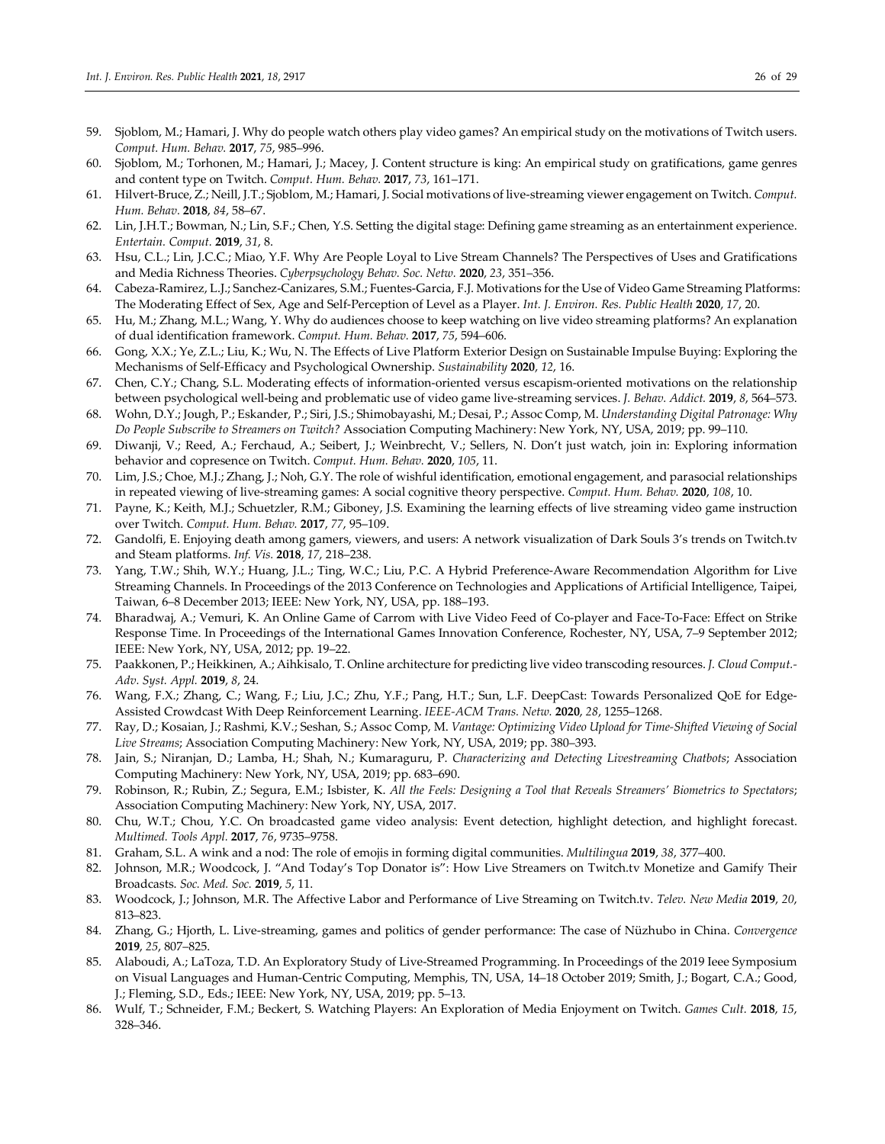- 59. Sjoblom, M.; Hamari, J. Why do people watch others play video games? An empirical study on the motivations of Twitch users. *Comput. Hum. Behav.* **2017**, *75*, 985–996.
- 60. Sjoblom, M.; Torhonen, M.; Hamari, J.; Macey, J. Content structure is king: An empirical study on gratifications, game genres and content type on Twitch. *Comput. Hum. Behav.* **2017**, *73*, 161–171.
- 61. Hilvert-Bruce, Z.; Neill, J.T.; Sjoblom, M.; Hamari, J. Social motivations of live-streaming viewer engagement on Twitch. *Comput. Hum. Behav.* **2018**, *84*, 58–67.
- 62. Lin, J.H.T.; Bowman, N.; Lin, S.F.; Chen, Y.S. Setting the digital stage: Defining game streaming as an entertainment experience. *Entertain. Comput.* **2019**, *31*, 8.
- 63. Hsu, C.L.; Lin, J.C.C.; Miao, Y.F. Why Are People Loyal to Live Stream Channels? The Perspectives of Uses and Gratifications and Media Richness Theories. *Cyberpsychology Behav. Soc. Netw.* **2020**, *23*, 351–356.
- 64. Cabeza-Ramirez, L.J.; Sanchez-Canizares, S.M.; Fuentes-Garcia, F.J. Motivations for the Use of Video Game Streaming Platforms: The Moderating Effect of Sex, Age and Self-Perception of Level as a Player. *Int. J. Environ. Res. Public Health* **2020**, *17*, 20.
- 65. Hu, M.; Zhang, M.L.; Wang, Y. Why do audiences choose to keep watching on live video streaming platforms? An explanation of dual identification framework. *Comput. Hum. Behav.* **2017**, *75*, 594–606.
- 66. Gong, X.X.; Ye, Z.L.; Liu, K.; Wu, N. The Effects of Live Platform Exterior Design on Sustainable Impulse Buying: Exploring the Mechanisms of Self-Efficacy and Psychological Ownership. *Sustainability* **2020**, *12*, 16.
- 67. Chen, C.Y.; Chang, S.L. Moderating effects of information-oriented versus escapism-oriented motivations on the relationship between psychological well-being and problematic use of video game live-streaming services. *J. Behav. Addict.* **2019**, *8*, 564–573.
- 68. Wohn, D.Y.; Jough, P.; Eskander, P.; Siri, J.S.; Shimobayashi, M.; Desai, P.; Assoc Comp, M. *Understanding Digital Patronage: Why Do People Subscribe to Streamers on Twitch?* Association Computing Machinery: New York, NY, USA, 2019; pp. 99–110.
- 69. Diwanji, V.; Reed, A.; Ferchaud, A.; Seibert, J.; Weinbrecht, V.; Sellers, N. Don't just watch, join in: Exploring information behavior and copresence on Twitch. *Comput. Hum. Behav.* **2020**, *105*, 11.
- 70. Lim, J.S.; Choe, M.J.; Zhang, J.; Noh, G.Y. The role of wishful identification, emotional engagement, and parasocial relationships in repeated viewing of live-streaming games: A social cognitive theory perspective. *Comput. Hum. Behav.* **2020**, *108*, 10.
- 71. Payne, K.; Keith, M.J.; Schuetzler, R.M.; Giboney, J.S. Examining the learning effects of live streaming video game instruction over Twitch. *Comput. Hum. Behav.* **2017**, *77*, 95–109.
- 72. Gandolfi, E. Enjoying death among gamers, viewers, and users: A network visualization of Dark Souls 3's trends on Twitch.tv and Steam platforms. *Inf. Vis.* **2018**, *17*, 218–238.
- 73. Yang, T.W.; Shih, W.Y.; Huang, J.L.; Ting, W.C.; Liu, P.C. A Hybrid Preference-Aware Recommendation Algorithm for Live Streaming Channels. In Proceedings of the 2013 Conference on Technologies and Applications of Artificial Intelligence, Taipei, Taiwan, 6–8 December 2013; IEEE: New York, NY, USA, pp. 188–193.
- 74. Bharadwaj, A.; Vemuri, K. An Online Game of Carrom with Live Video Feed of Co-player and Face-To-Face: Effect on Strike Response Time. In Proceedings of the International Games Innovation Conference, Rochester, NY, USA, 7–9 September 2012; IEEE: New York, NY, USA, 2012; pp. 19–22.
- 75. Paakkonen, P.; Heikkinen, A.; Aihkisalo, T. Online architecture for predicting live video transcoding resources. *J. Cloud Comput.- Adv. Syst. Appl.* **2019**, *8*, 24.
- 76. Wang, F.X.; Zhang, C.; Wang, F.; Liu, J.C.; Zhu, Y.F.; Pang, H.T.; Sun, L.F. DeepCast: Towards Personalized QoE for Edge-Assisted Crowdcast With Deep Reinforcement Learning. *IEEE-ACM Trans. Netw.* **2020**, *28*, 1255–1268.
- 77. Ray, D.; Kosaian, J.; Rashmi, K.V.; Seshan, S.; Assoc Comp, M. *Vantage: Optimizing Video Upload for Time-Shifted Viewing of Social Live Streams*; Association Computing Machinery: New York, NY, USA, 2019; pp. 380–393.
- 78. Jain, S.; Niranjan, D.; Lamba, H.; Shah, N.; Kumaraguru, P. *Characterizing and Detecting Livestreaming Chatbots*; Association Computing Machinery: New York, NY, USA, 2019; pp. 683–690.
- 79. Robinson, R.; Rubin, Z.; Segura, E.M.; Isbister, K. *All the Feels: Designing a Tool that Reveals Streamers' Biometrics to Spectators*; Association Computing Machinery: New York, NY, USA, 2017.
- 80. Chu, W.T.; Chou, Y.C. On broadcasted game video analysis: Event detection, highlight detection, and highlight forecast. *Multimed. Tools Appl.* **2017**, *76*, 9735–9758.
- 81. Graham, S.L. A wink and a nod: The role of emojis in forming digital communities. *Multilingua* **2019**, *38*, 377–400.
- 82. Johnson, M.R.; Woodcock, J. "And Today's Top Donator is": How Live Streamers on Twitch.tv Monetize and Gamify Their Broadcasts. *Soc. Med. Soc.* **2019**, *5*, 11.
- 83. Woodcock, J.; Johnson, M.R. The Affective Labor and Performance of Live Streaming on Twitch.tv. *Telev. New Media* **2019**, *20*, 813–823.
- 84. Zhang, G.; Hjorth, L. Live-streaming, games and politics of gender performance: The case of Nüzhubo in China. *Convergence*  **2019**, *25*, 807–825.
- 85. Alaboudi, A.; LaToza, T.D. An Exploratory Study of Live-Streamed Programming. In Proceedings of the 2019 Ieee Symposium on Visual Languages and Human-Centric Computing, Memphis, TN, USA, 14–18 October 2019; Smith, J.; Bogart, C.A.; Good, J.; Fleming, S.D., Eds.; IEEE: New York, NY, USA, 2019; pp. 5–13.
- 86. Wulf, T.; Schneider, F.M.; Beckert, S. Watching Players: An Exploration of Media Enjoyment on Twitch. *Games Cult.* **2018**, *15*, 328–346.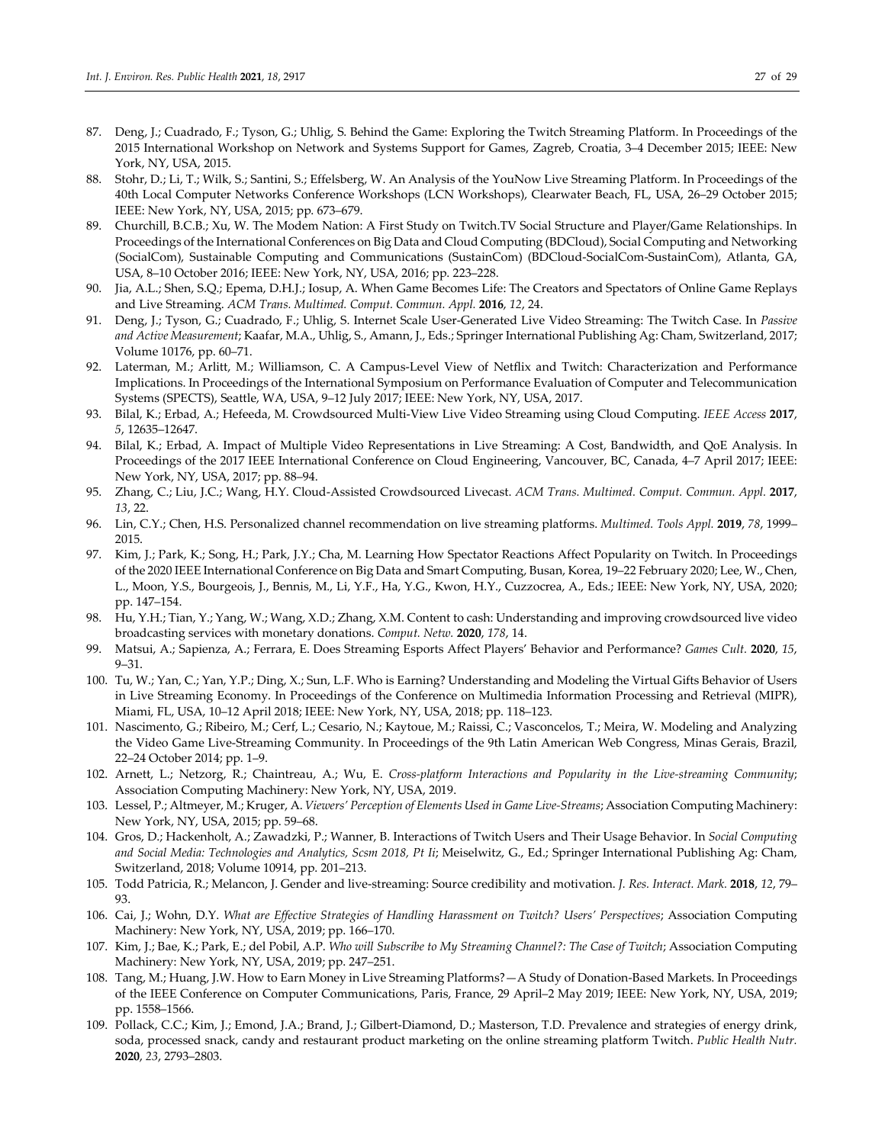- 87. Deng, J.; Cuadrado, F.; Tyson, G.; Uhlig, S. Behind the Game: Exploring the Twitch Streaming Platform. In Proceedings of the 2015 International Workshop on Network and Systems Support for Games, Zagreb, Croatia, 3–4 December 2015; IEEE: New York, NY, USA, 2015.
- 88. Stohr, D.; Li, T.; Wilk, S.; Santini, S.; Effelsberg, W. An Analysis of the YouNow Live Streaming Platform. In Proceedings of the 40th Local Computer Networks Conference Workshops (LCN Workshops), Clearwater Beach, FL, USA, 26–29 October 2015; IEEE: New York, NY, USA, 2015; pp. 673–679.
- 89. Churchill, B.C.B.; Xu, W. The Modem Nation: A First Study on Twitch.TV Social Structure and Player/Game Relationships. In Proceedings of the International Conferences on Big Data and Cloud Computing (BDCloud), Social Computing and Networking (SocialCom), Sustainable Computing and Communications (SustainCom) (BDCloud-SocialCom-SustainCom), Atlanta, GA, USA, 8–10 October 2016; IEEE: New York, NY, USA, 2016; pp. 223–228.
- 90. Jia, A.L.; Shen, S.Q.; Epema, D.H.J.; Iosup, A. When Game Becomes Life: The Creators and Spectators of Online Game Replays and Live Streaming. *ACM Trans. Multimed. Comput. Commun. Appl.* **2016**, *12*, 24.
- 91. Deng, J.; Tyson, G.; Cuadrado, F.; Uhlig, S. Internet Scale User-Generated Live Video Streaming: The Twitch Case. In *Passive and Active Measurement*; Kaafar, M.A., Uhlig, S., Amann, J., Eds.; Springer International Publishing Ag: Cham, Switzerland, 2017; Volume 10176, pp. 60–71.
- 92. Laterman, M.; Arlitt, M.; Williamson, C. A Campus-Level View of Netflix and Twitch: Characterization and Performance Implications. In Proceedings of the International Symposium on Performance Evaluation of Computer and Telecommunication Systems (SPECTS), Seattle, WA, USA, 9–12 July 2017; IEEE: New York, NY, USA, 2017.
- 93. Bilal, K.; Erbad, A.; Hefeeda, M. Crowdsourced Multi-View Live Video Streaming using Cloud Computing. *IEEE Access* **2017**, *5*, 12635–12647.
- 94. Bilal, K.; Erbad, A. Impact of Multiple Video Representations in Live Streaming: A Cost, Bandwidth, and QoE Analysis. In Proceedings of the 2017 IEEE International Conference on Cloud Engineering, Vancouver, BC, Canada, 4–7 April 2017; IEEE: New York, NY, USA, 2017; pp. 88–94.
- 95. Zhang, C.; Liu, J.C.; Wang, H.Y. Cloud-Assisted Crowdsourced Livecast. *ACM Trans. Multimed. Comput. Commun. Appl.* **2017**, *13*, 22.
- 96. Lin, C.Y.; Chen, H.S. Personalized channel recommendation on live streaming platforms. *Multimed. Tools Appl.* **2019**, *78*, 1999– 2015.
- 97. Kim, J.; Park, K.; Song, H.; Park, J.Y.; Cha, M. Learning How Spectator Reactions Affect Popularity on Twitch. In Proceedings of the 2020 IEEE International Conference on Big Data and Smart Computing, Busan, Korea, 19–22 February 2020; Lee, W., Chen, L., Moon, Y.S., Bourgeois, J., Bennis, M., Li, Y.F., Ha, Y.G., Kwon, H.Y., Cuzzocrea, A., Eds.; IEEE: New York, NY, USA, 2020; pp. 147–154.
- 98. Hu, Y.H.; Tian, Y.; Yang, W.; Wang, X.D.; Zhang, X.M. Content to cash: Understanding and improving crowdsourced live video broadcasting services with monetary donations. *Comput. Netw.* **2020**, *178*, 14.
- 99. Matsui, A.; Sapienza, A.; Ferrara, E. Does Streaming Esports Affect Players' Behavior and Performance? *Games Cult.* **2020**, *15*, 9–31.
- 100. Tu, W.; Yan, C.; Yan, Y.P.; Ding, X.; Sun, L.F. Who is Earning? Understanding and Modeling the Virtual Gifts Behavior of Users in Live Streaming Economy. In Proceedings of the Conference on Multimedia Information Processing and Retrieval (MIPR), Miami, FL, USA, 10–12 April 2018; IEEE: New York, NY, USA, 2018; pp. 118–123.
- 101. Nascimento, G.; Ribeiro, M.; Cerf, L.; Cesario, N.; Kaytoue, M.; Raissi, C.; Vasconcelos, T.; Meira, W. Modeling and Analyzing the Video Game Live-Streaming Community. In Proceedings of the 9th Latin American Web Congress, Minas Gerais, Brazil, 22–24 October 2014; pp. 1–9.
- 102. Arnett, L.; Netzorg, R.; Chaintreau, A.; Wu, E. *Cross-platform Interactions and Popularity in the Live-streaming Community*; Association Computing Machinery: New York, NY, USA, 2019.
- 103. Lessel, P.; Altmeyer, M.; Kruger, A. *Viewers' Perception of Elements Used in Game Live-Streams*; Association Computing Machinery: New York, NY, USA, 2015; pp. 59–68.
- 104. Gros, D.; Hackenholt, A.; Zawadzki, P.; Wanner, B. Interactions of Twitch Users and Their Usage Behavior. In *Social Computing and Social Media: Technologies and Analytics, Scsm 2018, Pt Ii*; Meiselwitz, G., Ed.; Springer International Publishing Ag: Cham, Switzerland, 2018; Volume 10914, pp. 201–213.
- 105. Todd Patricia, R.; Melancon, J. Gender and live-streaming: Source credibility and motivation. *J. Res. Interact. Mark.* **2018**, *12*, 79– 93.
- 106. Cai, J.; Wohn, D.Y. *What are Effective Strategies of Handling Harassment on Twitch? Users' Perspectives*; Association Computing Machinery: New York, NY, USA, 2019; pp. 166–170.
- 107. Kim, J.; Bae, K.; Park, E.; del Pobil, A.P. *Who will Subscribe to My Streaming Channel?: The Case of Twitch*; Association Computing Machinery: New York, NY, USA, 2019; pp. 247–251.
- 108. Tang, M.; Huang, J.W. How to Earn Money in Live Streaming Platforms?—A Study of Donation-Based Markets. In Proceedings of the IEEE Conference on Computer Communications, Paris, France, 29 April–2 May 2019; IEEE: New York, NY, USA, 2019; pp. 1558–1566.
- 109. Pollack, C.C.; Kim, J.; Emond, J.A.; Brand, J.; Gilbert-Diamond, D.; Masterson, T.D. Prevalence and strategies of energy drink, soda, processed snack, candy and restaurant product marketing on the online streaming platform Twitch. *Public Health Nutr.*  **2020**, *23*, 2793–2803.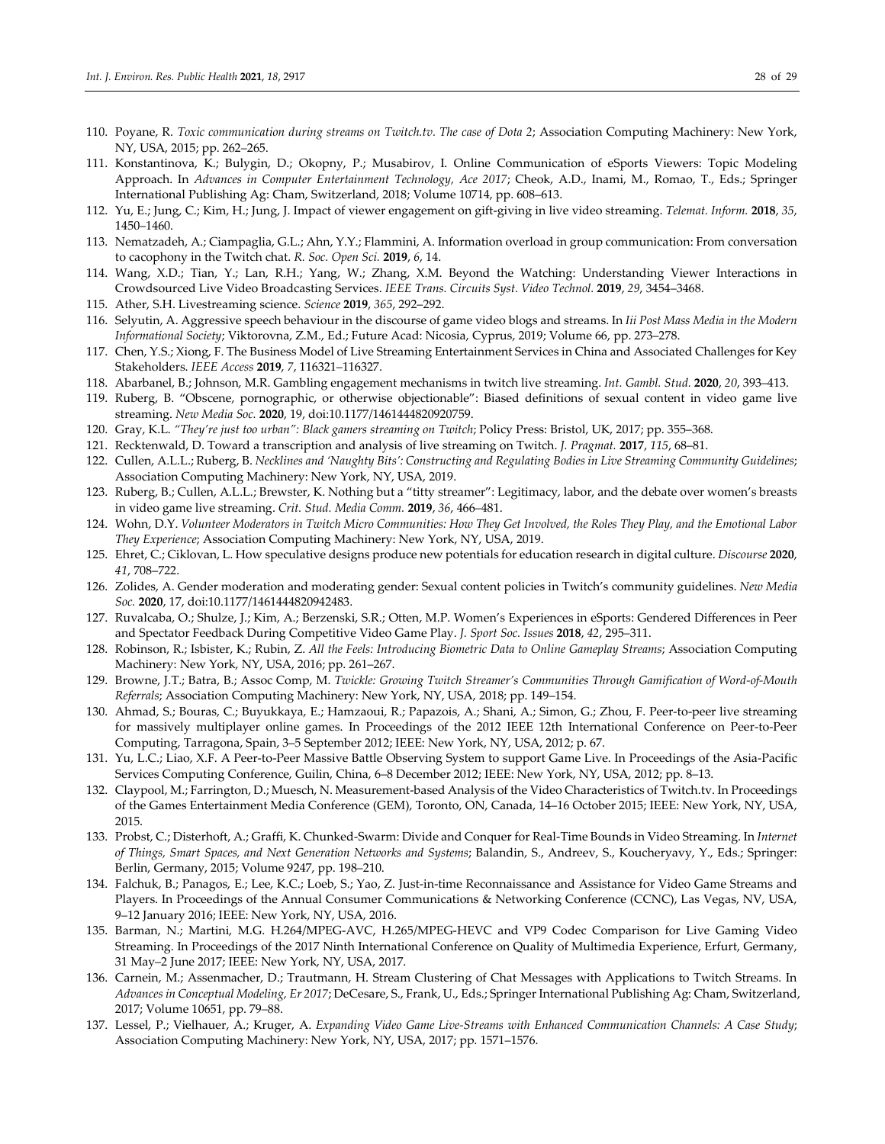- 110. Poyane, R. *Toxic communication during streams on Twitch.tv. The case of Dota 2*; Association Computing Machinery: New York, NY, USA, 2015; pp. 262–265.
- 111. Konstantinova, K.; Bulygin, D.; Okopny, P.; Musabirov, I. Online Communication of eSports Viewers: Topic Modeling Approach. In *Advances in Computer Entertainment Technology, Ace 2017*; Cheok, A.D., Inami, M., Romao, T., Eds.; Springer International Publishing Ag: Cham, Switzerland, 2018; Volume 10714, pp. 608–613.
- 112. Yu, E.; Jung, C.; Kim, H.; Jung, J. Impact of viewer engagement on gift-giving in live video streaming. *Telemat. Inform.* **2018**, *35*, 1450–1460.
- 113. Nematzadeh, A.; Ciampaglia, G.L.; Ahn, Y.Y.; Flammini, A. Information overload in group communication: From conversation to cacophony in the Twitch chat. *R. Soc. Open Sci.* **2019**, *6*, 14.
- 114. Wang, X.D.; Tian, Y.; Lan, R.H.; Yang, W.; Zhang, X.M. Beyond the Watching: Understanding Viewer Interactions in Crowdsourced Live Video Broadcasting Services. *IEEE Trans. Circuits Syst. Video Technol.* **2019**, *29*, 3454–3468.
- 115. Ather, S.H. Livestreaming science. *Science* **2019**, *365*, 292–292.
- 116. Selyutin, A. Aggressive speech behaviour in the discourse of game video blogs and streams. In *Iii Post Mass Media in the Modern Informational Society*; Viktorovna, Z.M., Ed.; Future Acad: Nicosia, Cyprus, 2019; Volume 66, pp. 273–278.
- 117. Chen, Y.S.; Xiong, F. The Business Model of Live Streaming Entertainment Services in China and Associated Challenges for Key Stakeholders. *IEEE Access* **2019**, *7*, 116321–116327.
- 118. Abarbanel, B.; Johnson, M.R. Gambling engagement mechanisms in twitch live streaming. *Int. Gambl. Stud.* **2020**, *20*, 393–413.
- 119. Ruberg, B. "Obscene, pornographic, or otherwise objectionable": Biased definitions of sexual content in video game live streaming. *New Media Soc.* **2020**, 19, doi:10.1177/1461444820920759.
- 120. Gray, K.L. *"They're just too urban": Black gamers streaming on Twitch*; Policy Press: Bristol, UK, 2017; pp. 355–368.
- 121. Recktenwald, D. Toward a transcription and analysis of live streaming on Twitch. *J. Pragmat.* **2017**, *115*, 68–81.
- 122. Cullen, A.L.L.; Ruberg, B. *Necklines and 'Naughty Bits': Constructing and Regulating Bodies in Live Streaming Community Guidelines*; Association Computing Machinery: New York, NY, USA, 2019.
- 123. Ruberg, B.; Cullen, A.L.L.; Brewster, K. Nothing but a "titty streamer": Legitimacy, labor, and the debate over women's breasts in video game live streaming. *Crit. Stud. Media Comm.* **2019**, *36*, 466–481.
- 124. Wohn, D.Y. *Volunteer Moderators in Twitch Micro Communities: How They Get Involved, the Roles They Play, and the Emotional Labor They Experience*; Association Computing Machinery: New York, NY, USA, 2019.
- 125. Ehret, C.; Ciklovan, L. How speculative designs produce new potentials for education research in digital culture. *Discourse* **2020**, *41*, 708–722.
- 126. Zolides, A. Gender moderation and moderating gender: Sexual content policies in Twitch's community guidelines. *New Media Soc.* **2020**, 17, doi:10.1177/1461444820942483.
- 127. Ruvalcaba, O.; Shulze, J.; Kim, A.; Berzenski, S.R.; Otten, M.P. Women's Experiences in eSports: Gendered Differences in Peer and Spectator Feedback During Competitive Video Game Play. *J. Sport Soc. Issues* **2018**, *42*, 295–311.
- 128. Robinson, R.; Isbister, K.; Rubin, Z. *All the Feels: Introducing Biometric Data to Online Gameplay Streams*; Association Computing Machinery: New York, NY, USA, 2016; pp. 261–267.
- 129. Browne, J.T.; Batra, B.; Assoc Comp, M. *Twickle: Growing Twitch Streamer's Communities Through Gamification of Word-of-Mouth Referrals*; Association Computing Machinery: New York, NY, USA, 2018; pp. 149–154.
- 130. Ahmad, S.; Bouras, C.; Buyukkaya, E.; Hamzaoui, R.; Papazois, A.; Shani, A.; Simon, G.; Zhou, F. Peer-to-peer live streaming for massively multiplayer online games. In Proceedings of the 2012 IEEE 12th International Conference on Peer-to-Peer Computing, Tarragona, Spain, 3–5 September 2012; IEEE: New York, NY, USA, 2012; p. 67.
- 131. Yu, L.C.; Liao, X.F. A Peer-to-Peer Massive Battle Observing System to support Game Live. In Proceedings of the Asia-Pacific Services Computing Conference, Guilin, China, 6–8 December 2012; IEEE: New York, NY, USA, 2012; pp. 8–13.
- 132. Claypool, M.; Farrington, D.; Muesch, N. Measurement-based Analysis of the Video Characteristics of Twitch.tv. In Proceedings of the Games Entertainment Media Conference (GEM), Toronto, ON, Canada, 14–16 October 2015; IEEE: New York, NY, USA, 2015.
- 133. Probst, C.; Disterhoft, A.; Graffi, K. Chunked-Swarm: Divide and Conquer for Real-Time Bounds in Video Streaming. In *Internet of Things, Smart Spaces, and Next Generation Networks and Systems*; Balandin, S., Andreev, S., Koucheryavy, Y., Eds.; Springer: Berlin, Germany, 2015; Volume 9247, pp. 198–210.
- 134. Falchuk, B.; Panagos, E.; Lee, K.C.; Loeb, S.; Yao, Z. Just-in-time Reconnaissance and Assistance for Video Game Streams and Players. In Proceedings of the Annual Consumer Communications & Networking Conference (CCNC), Las Vegas, NV, USA, 9–12 January 2016; IEEE: New York, NY, USA, 2016.
- 135. Barman, N.; Martini, M.G. H.264/MPEG-AVC, H.265/MPEG-HEVC and VP9 Codec Comparison for Live Gaming Video Streaming. In Proceedings of the 2017 Ninth International Conference on Quality of Multimedia Experience, Erfurt, Germany, 31 May–2 June 2017; IEEE: New York, NY, USA, 2017.
- 136. Carnein, M.; Assenmacher, D.; Trautmann, H. Stream Clustering of Chat Messages with Applications to Twitch Streams. In *Advances in Conceptual Modeling, Er 2017*; DeCesare, S., Frank, U., Eds.; Springer International Publishing Ag: Cham, Switzerland, 2017; Volume 10651, pp. 79–88.
- 137. Lessel, P.; Vielhauer, A.; Kruger, A. *Expanding Video Game Live-Streams with Enhanced Communication Channels: A Case Study*; Association Computing Machinery: New York, NY, USA, 2017; pp. 1571–1576.